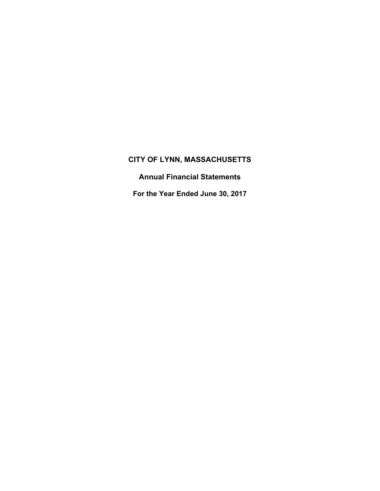**Annual Financial Statements** 

**For the Year Ended June 30, 2017**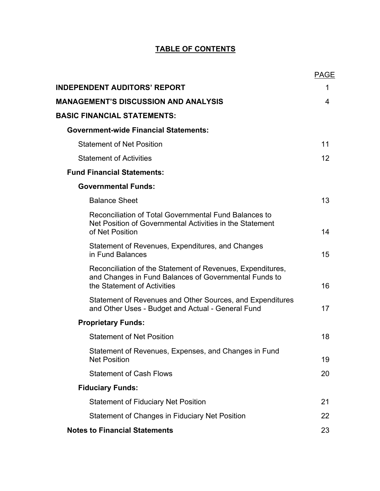# **TABLE OF CONTENTS**

|                                                                                                                                                    | <b>PAGE</b> |
|----------------------------------------------------------------------------------------------------------------------------------------------------|-------------|
| <b>INDEPENDENT AUDITORS' REPORT</b>                                                                                                                | 1           |
| <b>MANAGEMENT'S DISCUSSION AND ANALYSIS</b>                                                                                                        | 4           |
| <b>BASIC FINANCIAL STATEMENTS:</b>                                                                                                                 |             |
| <b>Government-wide Financial Statements:</b>                                                                                                       |             |
| <b>Statement of Net Position</b>                                                                                                                   | 11          |
| <b>Statement of Activities</b>                                                                                                                     | 12          |
| <b>Fund Financial Statements:</b>                                                                                                                  |             |
| <b>Governmental Funds:</b>                                                                                                                         |             |
| <b>Balance Sheet</b>                                                                                                                               | 13          |
| Reconciliation of Total Governmental Fund Balances to<br>Net Position of Governmental Activities in the Statement<br>of Net Position               | 14          |
| Statement of Revenues, Expenditures, and Changes<br>in Fund Balances                                                                               | 15          |
| Reconciliation of the Statement of Revenues, Expenditures,<br>and Changes in Fund Balances of Governmental Funds to<br>the Statement of Activities | 16          |
| Statement of Revenues and Other Sources, and Expenditures<br>and Other Uses - Budget and Actual - General Fund                                     | 17          |
| <b>Proprietary Funds:</b>                                                                                                                          |             |
| <b>Statement of Net Position</b>                                                                                                                   | 18          |
| Statement of Revenues, Expenses, and Changes in Fund<br><b>Net Position</b>                                                                        | 19          |
| <b>Statement of Cash Flows</b>                                                                                                                     | 20          |
| <b>Fiduciary Funds:</b>                                                                                                                            |             |
| <b>Statement of Fiduciary Net Position</b>                                                                                                         | 21          |
| Statement of Changes in Fiduciary Net Position                                                                                                     | 22          |
| <b>Notes to Financial Statements</b>                                                                                                               | 23          |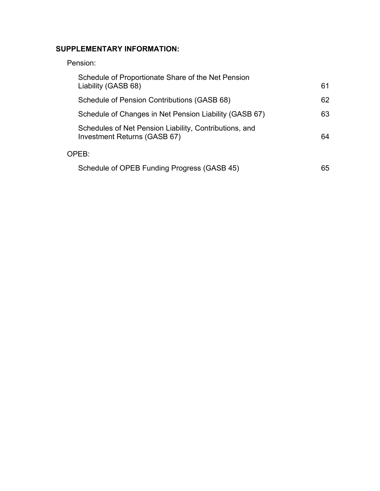# **SUPPLEMENTARY INFORMATION:**

# Pension:

| Schedule of Proportionate Share of the Net Pension<br>Liability (GASB 68)              | 61 |
|----------------------------------------------------------------------------------------|----|
| Schedule of Pension Contributions (GASB 68)                                            | 62 |
| Schedule of Changes in Net Pension Liability (GASB 67)                                 | 63 |
| Schedules of Net Pension Liability, Contributions, and<br>Investment Returns (GASB 67) | 64 |
| OPEB:                                                                                  |    |
| Schedule of OPEB Funding Progress (GASB 45)                                            | 65 |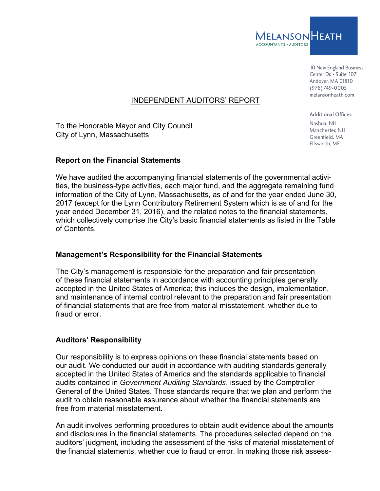

10 New England Business Center Dr. • Suite 107 Andover, MA 01810 (978)749-0005 melansonheath.com

# INDEPENDENT AUDITORS' REPORT

To the Honorable Mayor and City Council City of Lynn, Massachusetts

#### **Report on the Financial Statements**

We have audited the accompanying financial statements of the governmental activities, the business-type activities, each major fund, and the aggregate remaining fund information of the City of Lynn, Massachusetts, as of and for the year ended June 30, 2017 (except for the Lynn Contributory Retirement System which is as of and for the year ended December 31, 2016), and the related notes to the financial statements, which collectively comprise the City's basic financial statements as listed in the Table of Contents.

#### **Management's Responsibility for the Financial Statements**

The City's management is responsible for the preparation and fair presentation of these financial statements in accordance with accounting principles generally accepted in the United States of America; this includes the design, implementation, and maintenance of internal control relevant to the preparation and fair presentation of financial statements that are free from material misstatement, whether due to fraud or error.

# **Auditors' Responsibility**

Our responsibility is to express opinions on these financial statements based on our audit. We conducted our audit in accordance with auditing standards generally accepted in the United States of America and the standards applicable to financial audits contained in *Government Auditing Standards*, issued by the Comptroller General of the United States. Those standards require that we plan and perform the audit to obtain reasonable assurance about whether the financial statements are free from material misstatement.

An audit involves performing procedures to obtain audit evidence about the amounts and disclosures in the financial statements. The procedures selected depend on the auditors' judgment, including the assessment of the risks of material misstatement of the financial statements, whether due to fraud or error. In making those risk assess-

Additional Offices: Nashua, NH Manchester, NH Greenfield, MA Ellsworth, ME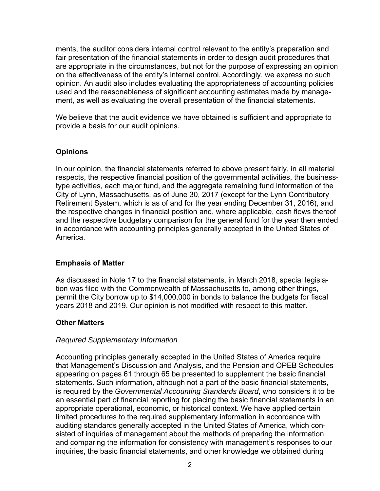ments, the auditor considers internal control relevant to the entity's preparation and fair presentation of the financial statements in order to design audit procedures that are appropriate in the circumstances, but not for the purpose of expressing an opinion on the effectiveness of the entity's internal control. Accordingly, we express no such opinion. An audit also includes evaluating the appropriateness of accounting policies used and the reasonableness of significant accounting estimates made by management, as well as evaluating the overall presentation of the financial statements.

We believe that the audit evidence we have obtained is sufficient and appropriate to provide a basis for our audit opinions.

# **Opinions**

In our opinion, the financial statements referred to above present fairly, in all material respects, the respective financial position of the governmental activities, the businesstype activities, each major fund, and the aggregate remaining fund information of the City of Lynn, Massachusetts, as of June 30, 2017 (except for the Lynn Contributory Retirement System, which is as of and for the year ending December 31, 2016), and the respective changes in financial position and, where applicable, cash flows thereof and the respective budgetary comparison for the general fund for the year then ended in accordance with accounting principles generally accepted in the United States of America.

# **Emphasis of Matter**

As discussed in Note 17 to the financial statements, in March 2018, special legislation was filed with the Commonwealth of Massachusetts to, among other things, permit the City borrow up to \$14,000,000 in bonds to balance the budgets for fiscal years 2018 and 2019. Our opinion is not modified with respect to this matter.

#### **Other Matters**

#### *Required Supplementary Information*

Accounting principles generally accepted in the United States of America require that Management's Discussion and Analysis, and the Pension and OPEB Schedules appearing on pages 61 through 65 be presented to supplement the basic financial statements. Such information, although not a part of the basic financial statements, is required by the *Governmental Accounting Standards Board*, who considers it to be an essential part of financial reporting for placing the basic financial statements in an appropriate operational, economic, or historical context. We have applied certain limited procedures to the required supplementary information in accordance with auditing standards generally accepted in the United States of America, which consisted of inquiries of management about the methods of preparing the information and comparing the information for consistency with management's responses to our inquiries, the basic financial statements, and other knowledge we obtained during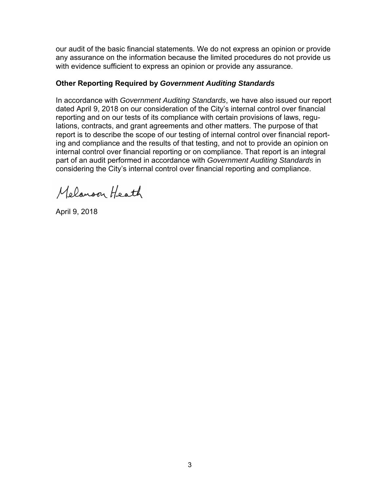our audit of the basic financial statements. We do not express an opinion or provide any assurance on the information because the limited procedures do not provide us with evidence sufficient to express an opinion or provide any assurance.

# **Other Reporting Required by** *Government Auditing Standards*

In accordance with *Government Auditing Standards*, we have also issued our report dated April 9, 2018 on our consideration of the City's internal control over financial reporting and on our tests of its compliance with certain provisions of laws, regulations, contracts, and grant agreements and other matters. The purpose of that report is to describe the scope of our testing of internal control over financial reporting and compliance and the results of that testing, and not to provide an opinion on internal control over financial reporting or on compliance. That report is an integral part of an audit performed in accordance with *Government Auditing Standards* in considering the City's internal control over financial reporting and compliance.

Melanson Heath

April 9, 2018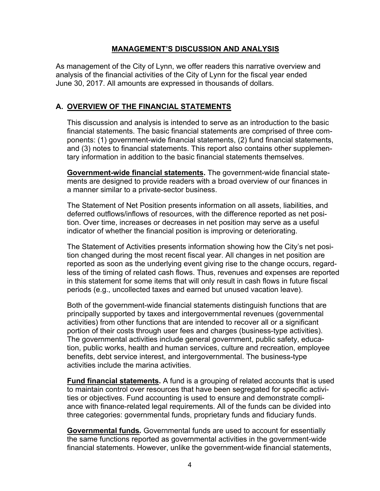#### **MANAGEMENT'S DISCUSSION AND ANALYSIS**

As management of the City of Lynn, we offer readers this narrative overview and analysis of the financial activities of the City of Lynn for the fiscal year ended June 30, 2017. All amounts are expressed in thousands of dollars.

# **A. OVERVIEW OF THE FINANCIAL STATEMENTS**

This discussion and analysis is intended to serve as an introduction to the basic financial statements. The basic financial statements are comprised of three components: (1) government-wide financial statements, (2) fund financial statements, and (3) notes to financial statements. This report also contains other supplementary information in addition to the basic financial statements themselves.

**Government-wide financial statements.** The government-wide financial statements are designed to provide readers with a broad overview of our finances in a manner similar to a private-sector business.

The Statement of Net Position presents information on all assets, liabilities, and deferred outflows/inflows of resources, with the difference reported as net position. Over time, increases or decreases in net position may serve as a useful indicator of whether the financial position is improving or deteriorating.

The Statement of Activities presents information showing how the City's net position changed during the most recent fiscal year. All changes in net position are reported as soon as the underlying event giving rise to the change occurs, regardless of the timing of related cash flows. Thus, revenues and expenses are reported in this statement for some items that will only result in cash flows in future fiscal periods (e.g., uncollected taxes and earned but unused vacation leave).

Both of the government-wide financial statements distinguish functions that are principally supported by taxes and intergovernmental revenues (governmental activities) from other functions that are intended to recover all or a significant portion of their costs through user fees and charges (business-type activities). The governmental activities include general government, public safety, education, public works, health and human services, culture and recreation, employee benefits, debt service interest, and intergovernmental. The business-type activities include the marina activities.

**Fund financial statements.** A fund is a grouping of related accounts that is used to maintain control over resources that have been segregated for specific activities or objectives. Fund accounting is used to ensure and demonstrate compliance with finance-related legal requirements. All of the funds can be divided into three categories: governmental funds, proprietary funds and fiduciary funds.

**Governmental funds***.* Governmental funds are used to account for essentially the same functions reported as governmental activities in the government-wide financial statements. However, unlike the government-wide financial statements,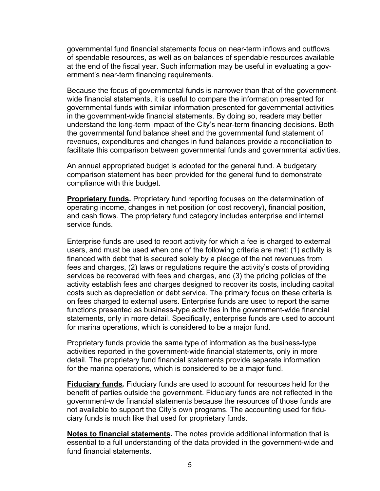governmental fund financial statements focus on near-term inflows and outflows of spendable resources, as well as on balances of spendable resources available at the end of the fiscal year. Such information may be useful in evaluating a government's near-term financing requirements.

Because the focus of governmental funds is narrower than that of the governmentwide financial statements, it is useful to compare the information presented for governmental funds with similar information presented for governmental activities in the government-wide financial statements. By doing so, readers may better understand the long-term impact of the City's near-term financing decisions. Both the governmental fund balance sheet and the governmental fund statement of revenues, expenditures and changes in fund balances provide a reconciliation to facilitate this comparison between governmental funds and governmental activities.

An annual appropriated budget is adopted for the general fund. A budgetary comparison statement has been provided for the general fund to demonstrate compliance with this budget.

**Proprietary funds.** Proprietary fund reporting focuses on the determination of operating income, changes in net position (or cost recovery), financial position, and cash flows. The proprietary fund category includes enterprise and internal service funds.

Enterprise funds are used to report activity for which a fee is charged to external users, and must be used when one of the following criteria are met: (1) activity is financed with debt that is secured solely by a pledge of the net revenues from fees and charges, (2) laws or regulations require the activity's costs of providing services be recovered with fees and charges, and (3) the pricing policies of the activity establish fees and charges designed to recover its costs, including capital costs such as depreciation or debt service. The primary focus on these criteria is on fees charged to external users. Enterprise funds are used to report the same functions presented as business-type activities in the government-wide financial statements, only in more detail. Specifically, enterprise funds are used to account for marina operations, which is considered to be a major fund.

Proprietary funds provide the same type of information as the business-type activities reported in the government-wide financial statements, only in more detail. The proprietary fund financial statements provide separate information for the marina operations, which is considered to be a major fund.

**Fiduciary funds***.* Fiduciary funds are used to account for resources held for the benefit of parties outside the government. Fiduciary funds are not reflected in the government-wide financial statements because the resources of those funds are not available to support the City's own programs. The accounting used for fiduciary funds is much like that used for proprietary funds.

**Notes to financial statements.** The notes provide additional information that is essential to a full understanding of the data provided in the government-wide and fund financial statements.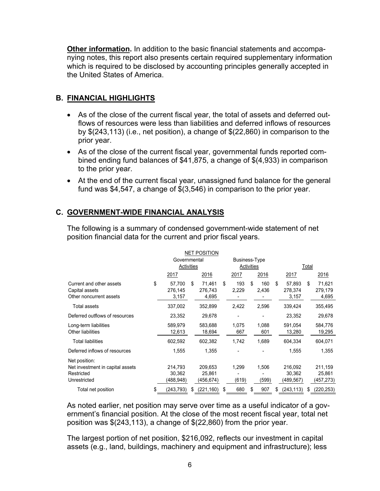**Other information.** In addition to the basic financial statements and accompanying notes, this report also presents certain required supplementary information which is required to be disclosed by accounting principles generally accepted in the United States of America.

# **B. FINANCIAL HIGHLIGHTS**

- As of the close of the current fiscal year, the total of assets and deferred outflows of resources were less than liabilities and deferred inflows of resources by \$(243,113) (i.e., net position), a change of \$(22,860) in comparison to the prior year.
- As of the close of the current fiscal year, governmental funds reported combined ending fund balances of \$41,875, a change of \$(4,933) in comparison to the prior year.
- At the end of the current fiscal year, unassigned fund balance for the general fund was \$4,547, a change of \$(3,546) in comparison to the prior year.

# **C. GOVERNMENT-WIDE FINANCIAL ANALYSIS**

The following is a summary of condensed government-wide statement of net position financial data for the current and prior fiscal years.

|                                                                                 | <b>NET POSITION</b> |                                |    |                                |    |                             |    |                |    |                                |    |                                |  |
|---------------------------------------------------------------------------------|---------------------|--------------------------------|----|--------------------------------|----|-----------------------------|----|----------------|----|--------------------------------|----|--------------------------------|--|
|                                                                                 |                     | Governmental<br>Activities     |    |                                |    | Business-Type<br>Activities |    |                |    | <b>Total</b>                   |    |                                |  |
|                                                                                 |                     | 2017                           |    | 2016                           |    | 2017                        |    | 2016           |    | 2017                           |    | 2016                           |  |
| Current and other assets<br>Capital assets<br>Other noncurrent assets           | \$                  | 57.700<br>276,145<br>3,157     | \$ | 71.461<br>276,743<br>4,695     | \$ | 193<br>2,229                | \$ | 160<br>2,436   | \$ | 57,893<br>278,374<br>3,157     | \$ | 71,621<br>279,179<br>4,695     |  |
| Total assets                                                                    |                     | 337,002                        |    | 352,899                        |    | 2,422                       |    | 2,596          |    | 339,424                        |    | 355,495                        |  |
| Deferred outflows of resources                                                  |                     | 23,352                         |    | 29,678                         |    |                             |    |                |    | 23,352                         |    | 29,678                         |  |
| Long-term liabilities<br>Other liabilities                                      |                     | 589,979<br>12,613              |    | 583,688<br>18,694              |    | 1,075<br>667                |    | 1.088<br>601   |    | 591,054<br>13,280              |    | 584,776<br>19,295              |  |
| Total liabilities                                                               |                     | 602,592                        |    | 602,382                        |    | 1,742                       |    | 1,689          |    | 604,334                        |    | 604,071                        |  |
| Deferred inflows of resources                                                   |                     | 1,555                          |    | 1,355                          |    |                             |    |                |    | 1,555                          |    | 1,355                          |  |
| Net position:<br>Net investment in capital assets<br>Restricted<br>Unrestricted |                     | 214,793<br>30,362<br>(488,948) |    | 209,653<br>25,861<br>(456,674) |    | 1,299<br>(619)              |    | 1,506<br>(599) |    | 216,092<br>30,362<br>(489,567) |    | 211,159<br>25,861<br>(457,273) |  |
| Total net position                                                              | \$                  | (243,793)                      | S  | (221,160)                      | \$ | 680                         | \$ | 907            | S  | (243, 113)                     | \$ | (220, 253)                     |  |

As noted earlier, net position may serve over time as a useful indicator of a government's financial position. At the close of the most recent fiscal year, total net position was \$(243,113), a change of \$(22,860) from the prior year.

The largest portion of net position, \$216,092, reflects our investment in capital assets (e.g., land, buildings, machinery and equipment and infrastructure); less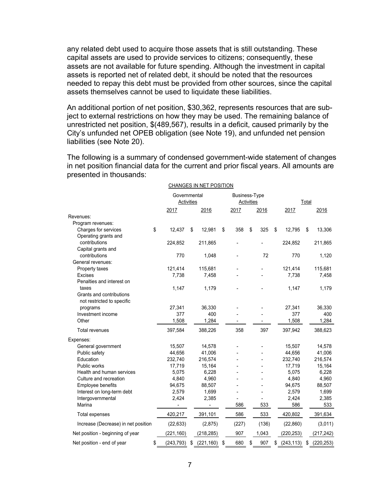any related debt used to acquire those assets that is still outstanding. These capital assets are used to provide services to citizens; consequently, these assets are not available for future spending. Although the investment in capital assets is reported net of related debt, it should be noted that the resources needed to repay this debt must be provided from other sources, since the capital assets themselves cannot be used to liquidate these liabilities.

An additional portion of net position, \$30,362, represents resources that are subject to external restrictions on how they may be used. The remaining balance of unrestricted net position, \$(489,567), results in a deficit, caused primarily by the City's unfunded net OPEB obligation (see Note 19), and unfunded net pension liabilities (see Note 20).

The following is a summary of condensed government-wide statement of changes in net position financial data for the current and prior fiscal years. All amounts are presented in thousands:

 $\overline{\phantom{a}}$ 

|                                     |                                   |    | CHANGES IN NET POSITION |                                    |    |       |    |            |    |            |  |
|-------------------------------------|-----------------------------------|----|-------------------------|------------------------------------|----|-------|----|------------|----|------------|--|
|                                     | Governmental<br><b>Activities</b> |    |                         | Business-Type<br><b>Activities</b> |    |       |    | Total      |    |            |  |
|                                     | 2017                              |    | 2016                    | 2017                               |    | 2016  |    | 2017       |    | 2016       |  |
| Revenues:                           |                                   |    |                         |                                    |    |       |    |            |    |            |  |
| Program revenues:                   |                                   |    |                         |                                    |    |       |    |            |    |            |  |
| Charges for services                | \$<br>12,437                      | \$ | 12,981                  | \$<br>358                          | \$ | 325   | \$ | 12,795     | \$ | 13,306     |  |
| Operating grants and                |                                   |    |                         |                                    |    |       |    |            |    |            |  |
| contributions                       | 224,852                           |    | 211,865                 |                                    |    |       |    | 224,852    |    | 211,865    |  |
| Capital grants and                  |                                   |    |                         |                                    |    |       |    |            |    |            |  |
| contributions                       | 770                               |    | 1,048                   | $\overline{\phantom{a}}$           |    | 72    |    | 770        |    | 1,120      |  |
| General revenues:                   |                                   |    |                         |                                    |    |       |    |            |    |            |  |
| Property taxes                      | 121,414                           |    | 115,681                 |                                    |    |       |    | 121,414    |    | 115,681    |  |
| <b>Excises</b>                      | 7,738                             |    | 7,458                   |                                    |    |       |    | 7,738      |    | 7,458      |  |
| Penalties and interest on           |                                   |    |                         |                                    |    |       |    |            |    |            |  |
| taxes                               | 1,147                             |    | 1,179                   |                                    |    |       |    | 1,147      |    | 1,179      |  |
| Grants and contributions            |                                   |    |                         |                                    |    |       |    |            |    |            |  |
| not restricted to specific          |                                   |    |                         |                                    |    |       |    |            |    |            |  |
| programs                            | 27,341                            |    | 36,330                  |                                    |    |       |    | 27,341     |    | 36,330     |  |
| Investment income                   | 377                               |    | 400                     |                                    |    |       |    | 377        |    | 400        |  |
| Other                               | 1,508                             |    | 1,284                   |                                    |    |       |    | 1,508      |    | 1,284      |  |
| <b>Total revenues</b>               | 397,584                           |    | 388,226                 | 358                                |    | 397   |    | 397,942    |    | 388,623    |  |
| Expenses:                           |                                   |    |                         |                                    |    |       |    |            |    |            |  |
| General government                  | 15,507                            |    | 14,578                  | $\qquad \qquad \blacksquare$       |    |       |    | 15,507     |    | 14,578     |  |
| Public safety                       | 44,656                            |    | 41,006                  |                                    |    |       |    | 44,656     |    | 41,006     |  |
| Education                           | 232,740                           |    | 216,574                 |                                    |    |       |    | 232,740    |    | 216,574    |  |
| Public works                        | 17,719                            |    | 15,164                  |                                    |    |       |    | 17,719     |    | 15,164     |  |
| Health and human services           | 5,075                             |    | 6,228                   |                                    |    |       |    | 5,075      |    | 6,228      |  |
| Culture and recreation              | 4,840                             |    | 4,960                   |                                    |    |       |    | 4,840      |    | 4,960      |  |
| Employee benefits                   | 94,675                            |    | 88,507                  |                                    |    |       |    | 94,675     |    | 88,507     |  |
| Interest on long-term debt          | 2,579                             |    | 1,699                   | ä,                                 |    |       |    | 2,579      |    | 1,699      |  |
| Intergovernmental                   | 2,424                             |    | 2,385                   |                                    |    |       |    | 2,424      |    | 2,385      |  |
| Marina                              |                                   |    | -                       | 586                                |    | 533   |    | 586        |    | 533        |  |
| <b>Total expenses</b>               | 420,217                           |    | 391,101                 | 586                                |    | 533   |    | 420,802    |    | 391,634    |  |
| Increase (Decrease) in net position | (22, 633)                         |    | (2,875)                 | (227)                              |    | (136) |    | (22, 860)  |    | (3,011)    |  |
| Net position - beginning of year    | (221,160)                         |    | (218, 285)              | 907                                |    | 1,043 |    | (220, 253) |    | (217, 242) |  |
| Net position - end of year          | \$<br>(243, 793)                  | \$ | (221, 160)              | \$<br>680                          | \$ | 907   | \$ | (243, 113) | \$ | (220, 253) |  |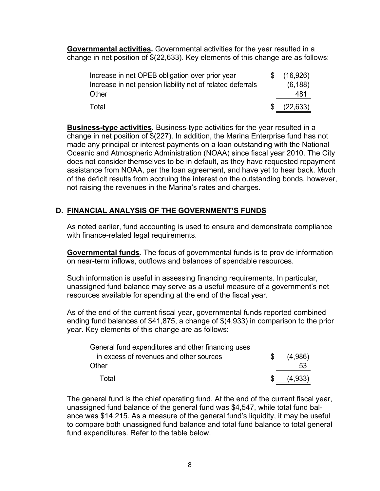**Governmental activities.** Governmental activities for the year resulted in a change in net position of \$(22,633). Key elements of this change are as follows:

| Increase in net OPEB obligation over prior year            | \$(16,926)  |
|------------------------------------------------------------|-------------|
| Increase in net pension liability net of related deferrals | (6, 188)    |
| Other                                                      | 481         |
| Total                                                      | \$ (22,633) |

**Business-type activities.** Business-type activities for the year resulted in a change in net position of \$(227). In addition, the Marina Enterprise fund has not made any principal or interest payments on a loan outstanding with the National Oceanic and Atmospheric Administration (NOAA) since fiscal year 2010. The City does not consider themselves to be in default, as they have requested repayment assistance from NOAA, per the loan agreement, and have yet to hear back. Much of the deficit results from accruing the interest on the outstanding bonds, however, not raising the revenues in the Marina's rates and charges.

# **D. FINANCIAL ANALYSIS OF THE GOVERNMENT'S FUNDS**

As noted earlier, fund accounting is used to ensure and demonstrate compliance with finance-related legal requirements.

**Governmental funds***.* The focus of governmental funds is to provide information on near-term inflows, outflows and balances of spendable resources.

Such information is useful in assessing financing requirements. In particular, unassigned fund balance may serve as a useful measure of a government's net resources available for spending at the end of the fiscal year.

As of the end of the current fiscal year, governmental funds reported combined ending fund balances of \$41,875, a change of \$(4,933) in comparison to the prior year. Key elements of this change are as follows:

| General fund expenditures and other financing uses |    |         |
|----------------------------------------------------|----|---------|
| in excess of revenues and other sources            | S. | (4,986) |
| Other                                              |    | 53      |
| Total                                              |    | (4.933) |

The general fund is the chief operating fund. At the end of the current fiscal year, unassigned fund balance of the general fund was \$4,547, while total fund balance was \$14,215. As a measure of the general fund's liquidity, it may be useful to compare both unassigned fund balance and total fund balance to total general fund expenditures. Refer to the table below.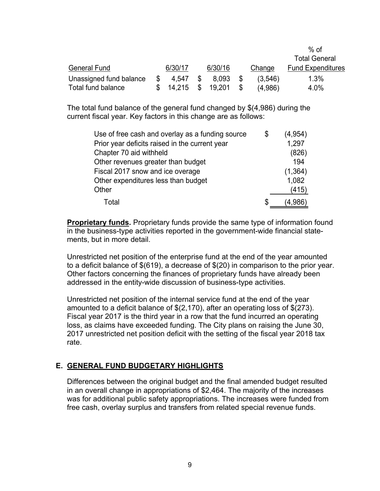|                         |   |         |         |         | $%$ of                   |
|-------------------------|---|---------|---------|---------|--------------------------|
|                         |   |         |         |         | <b>Total General</b>     |
| <b>General Fund</b>     |   | 6/30/17 | 6/30/16 | Change  | <b>Fund Expenditures</b> |
| Unassigned fund balance | S | 4.547   | 8.093   | (3,546) | 1.3%                     |
| Total fund balance      |   | 14,215  | 19.201  | (4,986) | 4.0%                     |

The total fund balance of the general fund changed by \$(4,986) during the current fiscal year. Key factors in this change are as follows:

| Use of free cash and overlay as a funding source | \$<br>(4,954) |
|--------------------------------------------------|---------------|
| Prior year deficits raised in the current year   | 1,297         |
| Chapter 70 aid withheld                          | (826)         |
| Other revenues greater than budget               | 194           |
| Fiscal 2017 snow and ice overage                 | (1, 364)      |
| Other expenditures less than budget              | 1,082         |
| Other                                            | (415)         |
| Total                                            | \$<br>(4.986) |

**Proprietary funds.** Proprietary funds provide the same type of information found in the business-type activities reported in the government-wide financial statements, but in more detail.

Unrestricted net position of the enterprise fund at the end of the year amounted to a deficit balance of \$(619), a decrease of \$(20) in comparison to the prior year. Other factors concerning the finances of proprietary funds have already been addressed in the entity-wide discussion of business-type activities.

Unrestricted net position of the internal service fund at the end of the year amounted to a deficit balance of \$(2,170), after an operating loss of \$(273). Fiscal year 2017 is the third year in a row that the fund incurred an operating loss, as claims have exceeded funding. The City plans on raising the June 30, 2017 unrestricted net position deficit with the setting of the fiscal year 2018 tax rate.

# **E. GENERAL FUND BUDGETARY HIGHLIGHTS**

Differences between the original budget and the final amended budget resulted in an overall change in appropriations of \$2,464. The majority of the increases was for additional public safety appropriations. The increases were funded from free cash, overlay surplus and transfers from related special revenue funds.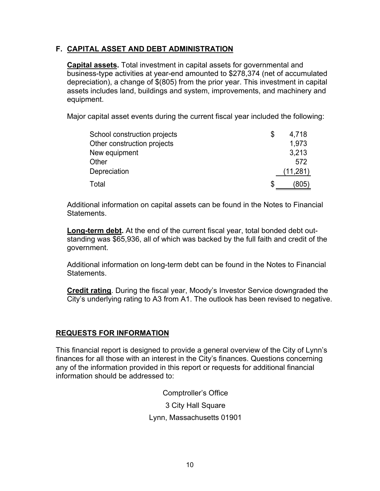# **F. CAPITAL ASSET AND DEBT ADMINISTRATION**

**Capital assets.** Total investment in capital assets for governmental and business-type activities at year-end amounted to \$278,374 (net of accumulated depreciation), a change of \$(805) from the prior year. This investment in capital assets includes land, buildings and system, improvements, and machinery and equipment.

Major capital asset events during the current fiscal year included the following:

| School construction projects | \$<br>4,718 |
|------------------------------|-------------|
| Other construction projects  | 1,973       |
| New equipment                | 3,213       |
| Other                        | 572         |
| Depreciation                 | (11, 281)   |
| Total                        | (805)       |

Additional information on capital assets can be found in the Notes to Financial **Statements** 

**Long-term debt.** At the end of the current fiscal year, total bonded debt outstanding was \$65,936, all of which was backed by the full faith and credit of the government.

Additional information on long-term debt can be found in the Notes to Financial **Statements** 

**Credit rating**. During the fiscal year, Moody's Investor Service downgraded the City's underlying rating to A3 from A1. The outlook has been revised to negative.

# **REQUESTS FOR INFORMATION**

This financial report is designed to provide a general overview of the City of Lynn's finances for all those with an interest in the City's finances. Questions concerning any of the information provided in this report or requests for additional financial information should be addressed to:

> Comptroller's Office 3 City Hall Square Lynn, Massachusetts 01901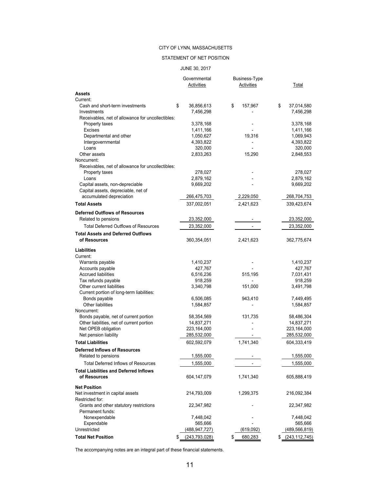#### STATEMENT OF NET POSITION

#### JUNE 30, 2017

|                                                                     | Governmental<br><b>Activities</b> |    | <b>Business-Type</b><br>Activities | Total                         |
|---------------------------------------------------------------------|-----------------------------------|----|------------------------------------|-------------------------------|
| Assets<br>Current:                                                  |                                   |    |                                    |                               |
| Cash and short-term investments<br>Investments                      | \$<br>36,856,613<br>7,456,298     | \$ | 157,967                            | \$<br>37,014,580<br>7,456,298 |
| Receivables, net of allowance for uncollectibles:                   |                                   |    |                                    |                               |
| Property taxes                                                      | 3,378,168                         |    |                                    | 3,378,168                     |
| <b>Excises</b>                                                      | 1,411,166                         |    |                                    | 1,411,166                     |
| Departmental and other                                              | 1,050,627                         |    | 19,316                             | 1,069,943                     |
| Intergovernmental                                                   | 4,393,822                         |    |                                    | 4,393,822                     |
| Loans                                                               | 320,000                           |    |                                    | 320,000                       |
| Other assets                                                        | 2,833,263                         |    | 15,290                             | 2,848,553                     |
| Noncurrent:                                                         |                                   |    |                                    |                               |
| Receivables, net of allowance for uncollectibles:<br>Property taxes | 278,027                           |    |                                    | 278,027                       |
| Loans                                                               | 2,879,162                         |    |                                    | 2,879,162                     |
| Capital assets, non-depreciable                                     | 9,669,202                         |    |                                    | 9,669,202                     |
| Capital assets, depreciable, net of                                 |                                   |    |                                    |                               |
| accumulated depreciation                                            | 266,475,703                       |    | 2,229,050                          | 268,704,753                   |
| <b>Total Assets</b>                                                 | 337,002,051                       |    | 2,421,623                          | 339,423,674                   |
|                                                                     |                                   |    |                                    |                               |
| <b>Deferred Outflows of Resources</b>                               |                                   |    |                                    |                               |
| Related to pensions                                                 | 23,352,000                        |    |                                    | 23,352,000                    |
| <b>Total Deferred Outflows of Resources</b>                         | 23,352,000                        |    | $\overline{\phantom{a}}$           | 23,352,000                    |
| <b>Total Assets and Deferred Outflows</b><br>of Resources           | 360,354,051                       |    | 2,421,623                          | 362,775,674                   |
| Liabilities                                                         |                                   |    |                                    |                               |
| Current:                                                            |                                   |    |                                    |                               |
| Warrants payable                                                    | 1,410,237                         |    |                                    | 1,410,237                     |
| Accounts payable                                                    | 427,767                           |    |                                    | 427,767                       |
| <b>Accrued liabilities</b>                                          | 6,516,236                         |    | 515,195                            | 7,031,431                     |
| Tax refunds payable                                                 | 918,259                           |    |                                    | 918,259                       |
| Other current liabilities                                           | 3,340,798                         |    | 151,000                            | 3,491,798                     |
| Current portion of long-term liabilities:                           |                                   |    |                                    |                               |
| Bonds payable                                                       | 6,506,085                         |    | 943,410                            | 7,449,495                     |
| Other liabilities<br>Noncurrent:                                    | 1,584,857                         |    |                                    | 1,584,857                     |
| Bonds payable, net of current portion                               | 58,354,569                        |    | 131,735                            | 58,486,304                    |
| Other liabilities, net of current portion                           | 14,837,271                        |    |                                    | 14,837,271                    |
| Net OPEB obligation                                                 | 223,164,000                       |    |                                    | 223,164,000                   |
| Net pension liability                                               | 285,532,000                       |    |                                    | 285,532,000                   |
| <b>Total Liabilities</b>                                            | 602,592,079                       |    | 1,741,340                          | 604,333,419                   |
| Deferred Inflows of Resources                                       |                                   |    |                                    |                               |
| Related to pensions                                                 | 1,555,000                         |    |                                    | 1,555,000                     |
| <b>Total Deferred Inflows of Resources</b>                          | 1,555,000                         |    |                                    | 1,555,000                     |
|                                                                     |                                   |    |                                    |                               |
| <b>Total Liabilities and Deferred Inflows</b><br>of Resources       | 604, 147, 079                     |    | 1,741,340                          | 605,888,419                   |
| <b>Net Position</b>                                                 |                                   |    |                                    |                               |
| Net investment in capital assets                                    | 214,793,009                       |    | 1,299,375                          | 216,092,384                   |
| Restricted for:                                                     |                                   |    |                                    |                               |
| Grants and other statutory restrictions<br>Permanent funds:         | 22,347,982                        |    |                                    | 22,347,982                    |
| Nonexpendable                                                       | 7,448,042                         |    |                                    | 7,448,042                     |
| Expendable                                                          | 565,666                           |    |                                    | 565,666                       |
| Unrestricted                                                        | <u>(488,947,727)</u>              |    | (619,092)                          | (489, 566, 819)               |
| <b>Total Net Position</b>                                           | \$<br>(243, 793, 028)             | S  | 680,283                            | (243, 112, 745)               |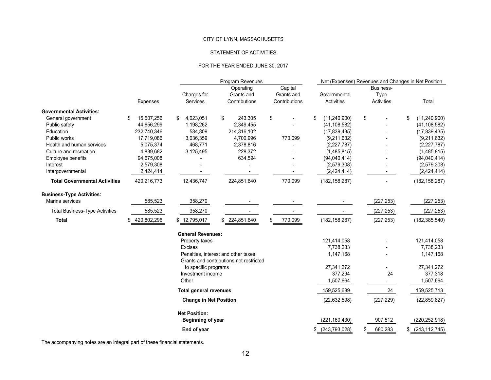#### STATEMENT OF ACTIVITIES

#### FOR THE YEAR ENDED JUNE 30, 2017

|                                       |                   |                                | Program Revenues                                                               |                                        |                            | Net (Expenses) Revenues and Changes in Net Position |                      |  |  |  |  |
|---------------------------------------|-------------------|--------------------------------|--------------------------------------------------------------------------------|----------------------------------------|----------------------------|-----------------------------------------------------|----------------------|--|--|--|--|
|                                       | <b>Expenses</b>   | Charges for<br><b>Services</b> | Operating<br>Grants and<br>Contributions                                       | Capital<br>Grants and<br>Contributions | Governmental<br>Activities | Business-<br>Type<br><b>Activities</b>              | Total                |  |  |  |  |
| <b>Governmental Activities:</b>       |                   |                                |                                                                                |                                        |                            |                                                     |                      |  |  |  |  |
| General government                    | 15,507,256<br>\$  | 4,023,051<br>\$                | \$<br>243,305                                                                  | \$                                     | \$<br>(11, 240, 900)       | \$                                                  | (11, 240, 900)<br>\$ |  |  |  |  |
| Public safety                         | 44,656,299        | 1,198,262                      | 2,349,455                                                                      |                                        | (41, 108, 582)             |                                                     | (41, 108, 582)       |  |  |  |  |
| Education                             | 232,740,346       | 584,809                        | 214,316,102                                                                    |                                        | (17, 839, 435)             |                                                     | (17, 839, 435)       |  |  |  |  |
| Public works                          | 17,719,086        | 3,036,359                      | 4,700,996                                                                      | 770,099                                | (9,211,632)                |                                                     | (9,211,632)          |  |  |  |  |
| Health and human services             | 5,075,374         | 468,771                        | 2,378,816                                                                      |                                        | (2, 227, 787)              |                                                     | (2,227,787)          |  |  |  |  |
| Culture and recreation                | 4,839,682         | 3,125,495                      | 228,372                                                                        |                                        | (1,485,815)                |                                                     | (1,485,815)          |  |  |  |  |
| Employee benefits                     | 94,675,008        |                                | 634,594                                                                        |                                        | (94,040,414)               |                                                     | (94,040,414)         |  |  |  |  |
| Interest                              | 2,579,308         |                                |                                                                                |                                        | (2,579,308)                |                                                     | (2,579,308)          |  |  |  |  |
| Intergovernmental                     | 2,424,414         |                                |                                                                                |                                        | (2,424,414)                |                                                     | (2,424,414)          |  |  |  |  |
| <b>Total Governmental Activities</b>  | 420,216,773       | 12,436,747                     | 224,851,640                                                                    | 770,099                                | (182, 158, 287)            |                                                     | (182, 158, 287)      |  |  |  |  |
| <b>Business-Type Activities:</b>      |                   |                                |                                                                                |                                        |                            |                                                     |                      |  |  |  |  |
| Marina services                       | 585,523           | 358,270                        |                                                                                |                                        |                            | (227, 253)                                          | (227, 253)           |  |  |  |  |
| <b>Total Business-Type Activities</b> | 585,523           | 358,270                        |                                                                                |                                        |                            | (227, 253)                                          | (227, 253)           |  |  |  |  |
| <b>Total</b>                          | 420,802,296<br>\$ | \$12,795,017                   | \$ 224,851,640                                                                 | 770,099<br>\$                          | (182, 158, 287)            | (227, 253)                                          | (182, 385, 540)      |  |  |  |  |
|                                       |                   | <b>General Revenues:</b>       |                                                                                |                                        |                            |                                                     |                      |  |  |  |  |
|                                       |                   | Property taxes                 |                                                                                |                                        | 121,414,058                |                                                     | 121,414,058          |  |  |  |  |
|                                       |                   | <b>Excises</b>                 |                                                                                |                                        | 7,738,233                  |                                                     | 7,738,233            |  |  |  |  |
|                                       |                   |                                | Penalties, interest and other taxes<br>Grants and contributions not restricted |                                        | 1,147,168                  |                                                     | 1,147,168            |  |  |  |  |
|                                       |                   | to specific programs           |                                                                                |                                        | 27,341,272                 |                                                     | 27,341,272           |  |  |  |  |
|                                       |                   | Investment income              |                                                                                |                                        | 377,294                    | 24                                                  | 377,318              |  |  |  |  |
|                                       |                   | Other                          |                                                                                |                                        | 1,507,664                  |                                                     | 1,507,664            |  |  |  |  |
|                                       |                   | <b>Total general revenues</b>  |                                                                                |                                        | 159,525,689                | 24                                                  | 159,525,713          |  |  |  |  |
|                                       |                   | <b>Change in Net Position</b>  |                                                                                |                                        | (22, 632, 598)             | (227, 229)                                          | (22, 859, 827)       |  |  |  |  |
|                                       |                   | <b>Net Position:</b>           |                                                                                |                                        |                            |                                                     |                      |  |  |  |  |
|                                       |                   | Beginning of year              |                                                                                |                                        | (221, 160, 430)            | 907,512                                             | (220, 252, 918)      |  |  |  |  |
|                                       |                   | End of year                    |                                                                                |                                        | \$<br>(243, 793, 028)      | 680,283                                             | (243, 112, 745)      |  |  |  |  |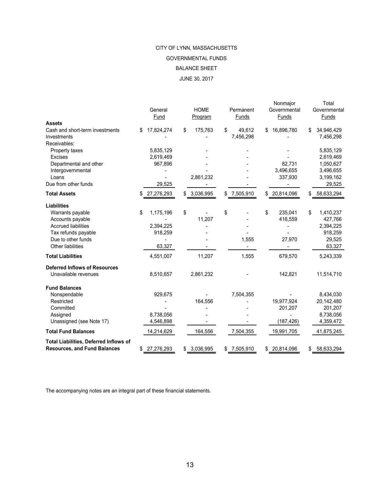# JUNE 30, 2017 CITY OF LYNN, MASSACHUSETTS BALANCE SHEET GOVERNMENTAL FUNDS

| <b>Assets</b>                                                                                                                                              |     | General<br>Fund                             | <b>HOME</b><br>Program | Permanent<br>Funds        | Nonmajor<br>Governmental<br>Funds   | Total<br>Governmental<br>Funds                                         |
|------------------------------------------------------------------------------------------------------------------------------------------------------------|-----|---------------------------------------------|------------------------|---------------------------|-------------------------------------|------------------------------------------------------------------------|
| Cash and short-term investments<br>Investments                                                                                                             | \$. | 17,824,274                                  | \$<br>175,763          | \$<br>49,612<br>7,456,298 | \$<br>16,896,780                    | \$<br>34,946,429<br>7,456,298                                          |
| Receivables:<br>Property taxes<br>Excises                                                                                                                  |     | 5,835,129<br>2,619,469                      |                        |                           |                                     | 5,835,129<br>2,619,469                                                 |
| Departmental and other<br>Intergovernmental<br>Loans                                                                                                       |     | 967,896                                     | 2,861,232              |                           | 82,731<br>3,496,655<br>337,930      | 1,050,627<br>3,496,655<br>3,199,162                                    |
| Due from other funds                                                                                                                                       |     | 29,525                                      |                        |                           |                                     | 29,525                                                                 |
| <b>Total Assets</b>                                                                                                                                        | \$  | 27,276,293                                  | \$<br>3,036,995        | \$<br>7,505,910           | \$ 20,814,096                       | \$<br>58,633,294                                                       |
| <b>Liabilities</b><br>Warrants payable<br>Accounts payable<br><b>Accrued liabilities</b><br>Tax refunds payable<br>Due to other funds<br>Other liabilities | \$  | 1,175,196<br>2,394,225<br>918,259<br>63,327 | \$<br>11,207           | \$<br>1,555               | \$<br>235,041<br>416,559<br>27,970  | \$<br>1,410,237<br>427,766<br>2,394,225<br>918,259<br>29,525<br>63,327 |
| <b>Total Liabilities</b>                                                                                                                                   |     | 4,551,007                                   | 11,207                 | 1,555                     | 679,570                             | 5,243,339                                                              |
| <b>Deferred Inflows of Resources</b><br>Unavailable revenues                                                                                               |     | 8,510,657                                   | 2,861,232              |                           | 142,821                             | 11,514,710                                                             |
| <b>Fund Balances</b><br>Nonspendable<br>Restricted<br>Committed<br>Assigned<br>Unassigned (see Note 17)                                                    |     | 929,675<br>8,738,056<br>4,546,898           | 164,556                | 7,504,355                 | 19,977,924<br>201,207<br>(187, 426) | 8,434,030<br>20,142,480<br>201,207<br>8,738,056<br>4,359,472           |
| <b>Total Fund Balances</b>                                                                                                                                 |     | 14,214,629                                  | 164,556                | 7,504,355                 | 19,991,705                          | 41,875,245                                                             |
| Total Liabilities, Deferred Inflows of<br><b>Resources, and Fund Balances</b>                                                                              | \$  | 27,276,293                                  | \$<br>3,036,995        | \$<br>7,505,910           | \$<br>20,814,096                    | 58,633,294                                                             |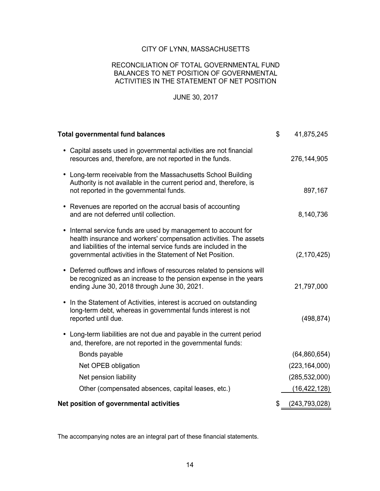#### RECONCILIATION OF TOTAL GOVERNMENTAL FUND BALANCES TO NET POSITION OF GOVERNMENTAL ACTIVITIES IN THE STATEMENT OF NET POSITION

#### JUNE 30, 2017

| <b>Total governmental fund balances</b>                                                                                                                                                                                                                                          | \$<br>41,875,245    |
|----------------------------------------------------------------------------------------------------------------------------------------------------------------------------------------------------------------------------------------------------------------------------------|---------------------|
| • Capital assets used in governmental activities are not financial<br>resources and, therefore, are not reported in the funds.                                                                                                                                                   | 276,144,905         |
| • Long-term receivable from the Massachusetts School Building<br>Authority is not available in the current period and, therefore, is<br>not reported in the governmental funds.                                                                                                  | 897,167             |
| • Revenues are reported on the accrual basis of accounting<br>and are not deferred until collection.                                                                                                                                                                             | 8,140,736           |
| Internal service funds are used by management to account for<br>$\bullet$<br>health insurance and workers' compensation activities. The assets<br>and liabilities of the internal service funds are included in the<br>governmental activities in the Statement of Net Position. | (2, 170, 425)       |
| Deferred outflows and inflows of resources related to pensions will<br>$\bullet$<br>be recognized as an increase to the pension expense in the years<br>ending June 30, 2018 through June 30, 2021.                                                                              | 21,797,000          |
| In the Statement of Activities, interest is accrued on outstanding<br>$\bullet$<br>long-term debt, whereas in governmental funds interest is not<br>reported until due.                                                                                                          | (498, 874)          |
| • Long-term liabilities are not due and payable in the current period<br>and, therefore, are not reported in the governmental funds:                                                                                                                                             |                     |
| Bonds payable                                                                                                                                                                                                                                                                    | (64, 860, 654)      |
| Net OPEB obligation                                                                                                                                                                                                                                                              | (223, 164, 000)     |
| Net pension liability                                                                                                                                                                                                                                                            | (285, 532, 000)     |
| Other (compensated absences, capital leases, etc.)                                                                                                                                                                                                                               | (16, 422, 128)      |
| Net position of governmental activities                                                                                                                                                                                                                                          | \$<br>(243,793,028) |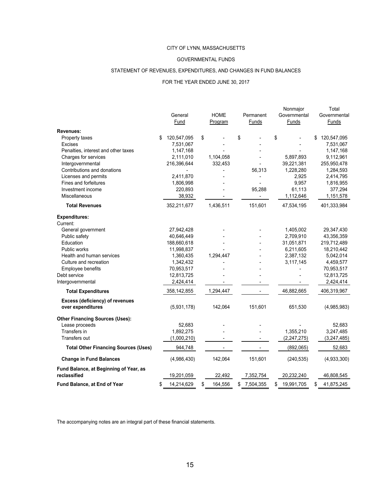#### GOVERNMENTAL FUNDS

#### STATEMENT OF REVENUES, EXPENDITURES, AND CHANGES IN FUND BALANCES

#### FOR THE YEAR ENDED JUNE 30, 2017

|                                             |                   |               |                 | Nonmajor         | Total             |
|---------------------------------------------|-------------------|---------------|-----------------|------------------|-------------------|
|                                             | General           | <b>HOME</b>   | Permanent       | Governmental     | Governmental      |
|                                             | Fund              | Program       | Funds           | Funds            | Funds             |
| Revenues:                                   |                   |               |                 |                  |                   |
| Property taxes                              | \$<br>120,547,095 | \$            | \$              | \$               | \$<br>120,547,095 |
| <b>Excises</b>                              | 7,531,067         |               |                 |                  | 7,531,067         |
| Penalties, interest and other taxes         | 1,147,168         |               |                 |                  | 1,147,168         |
| Charges for services                        | 2,111,010         | 1,104,058     |                 | 5,897,893        | 9,112,961         |
| Intergovernmental                           | 216,396,644       | 332,453       |                 | 39,221,381       | 255,950,478       |
| Contributions and donations                 |                   |               | 56,313          | 1,228,280        | 1,284,593         |
| Licenses and permits                        | 2,411,870         |               |                 | 2,925            | 2,414,795         |
| Fines and forfeitures                       | 1,806,998         |               |                 | 9,957            | 1,816,955         |
| Investment income                           | 220,893           |               | 95,288          | 61,113           | 377,294           |
| Miscellaneous                               | 38,932            |               |                 | 1,112,646        | 1,151,578         |
| <b>Total Revenues</b>                       | 352,211,677       | 1,436,511     | 151,601         | 47,534,195       | 401,333,984       |
| <b>Expenditures:</b>                        |                   |               |                 |                  |                   |
| Current:                                    |                   |               |                 |                  |                   |
| General government                          | 27,942,428        |               |                 | 1,405,002        | 29,347,430        |
| Public safety                               | 40,646,449        |               |                 | 2,709,910        | 43,356,359        |
| Education                                   | 188,660,618       |               |                 | 31,051,871       | 219,712,489       |
| Public works                                | 11,998,837        |               |                 | 6,211,605        | 18,210,442        |
| Health and human services                   | 1,360,435         | 1,294,447     |                 | 2,387,132        | 5,042,014         |
| Culture and recreation                      | 1,342,432         |               |                 | 3,117,145        | 4,459,577         |
| <b>Employee benefits</b>                    | 70,953,517        |               |                 |                  | 70,953,517        |
| Debt service                                | 12,813,725        |               |                 |                  | 12,813,725        |
| Intergovernmental                           | 2,424,414         |               |                 |                  | 2,424,414         |
| <b>Total Expenditures</b>                   | 358,142,855       | 1,294,447     |                 | 46,882,665       | 406,319,967       |
| Excess (deficiency) of revenues             |                   |               |                 |                  |                   |
| over expenditures                           | (5,931,178)       | 142,064       | 151,601         | 651,530          | (4,985,983)       |
| <b>Other Financing Sources (Uses):</b>      |                   |               |                 |                  |                   |
| Lease proceeds                              | 52,683            |               |                 |                  | 52,683            |
| Transfers in                                | 1,892,275         |               |                 | 1,355,210        | 3,247,485         |
| Transfers out                               | (1,000,210)       |               |                 | (2,247,275)      | (3, 247, 485)     |
| <b>Total Other Financing Sources (Uses)</b> | 944,748           |               |                 | (892,065)        | 52,683            |
| <b>Change in Fund Balances</b>              | (4,986,430)       | 142,064       | 151,601         | (240, 535)       | (4,933,300)       |
| Fund Balance, at Beginning of Year, as      |                   |               |                 |                  |                   |
| reclassified                                | 19,201,059        | 22,492        | 7,352,754       | 20,232,240       | 46,808,545        |
| Fund Balance, at End of Year                | \$<br>14,214,629  | \$<br>164,556 | \$<br>7,504,355 | \$<br>19,991,705 | \$<br>41,875,245  |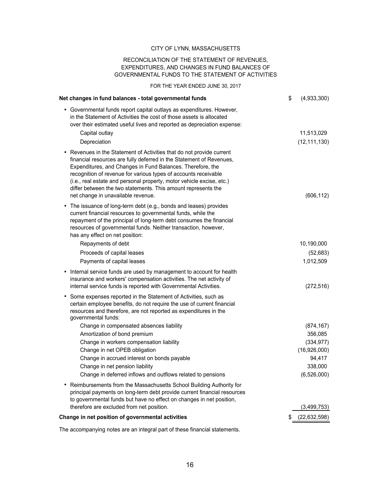#### RECONCILIATION OF THE STATEMENT OF REVENUES, EXPENDITURES, AND CHANGES IN FUND BALANCES OF GOVERNMENTAL FUNDS TO THE STATEMENT OF ACTIVITIES

FOR THE YEAR ENDED JUNE 30, 2017

| Net changes in fund balances - total governmental funds                                                                                                                                                                                                                                                                                                                                                                                                        | \$<br>(4,933,300)    |
|----------------------------------------------------------------------------------------------------------------------------------------------------------------------------------------------------------------------------------------------------------------------------------------------------------------------------------------------------------------------------------------------------------------------------------------------------------------|----------------------|
| • Governmental funds report capital outlays as expenditures. However,<br>in the Statement of Activities the cost of those assets is allocated<br>over their estimated useful lives and reported as depreciation expense:                                                                                                                                                                                                                                       |                      |
| Capital outlay                                                                                                                                                                                                                                                                                                                                                                                                                                                 | 11,513,029           |
| Depreciation                                                                                                                                                                                                                                                                                                                                                                                                                                                   | (12, 111, 130)       |
| • Revenues in the Statement of Activities that do not provide current<br>financial resources are fully deferred in the Statement of Revenues,<br>Expenditures, and Changes in Fund Balances. Therefore, the<br>recognition of revenue for various types of accounts receivable<br>(i.e., real estate and personal property, motor vehicle excise, etc.)<br>differ between the two statements. This amount represents the<br>net change in unavailable revenue. | (606, 112)           |
| The issuance of long-term debt (e.g., bonds and leases) provides<br>٠<br>current financial resources to governmental funds, while the<br>repayment of the principal of long-term debt consumes the financial<br>resources of governmental funds. Neither transaction, however,<br>has any effect on net position:                                                                                                                                              |                      |
| Repayments of debt                                                                                                                                                                                                                                                                                                                                                                                                                                             | 10,190,000           |
| Proceeds of capital leases                                                                                                                                                                                                                                                                                                                                                                                                                                     | (52, 683)            |
| Payments of capital leases                                                                                                                                                                                                                                                                                                                                                                                                                                     | 1,012,509            |
| • Internal service funds are used by management to account for health<br>insurance and workers' compensation activities. The net activity of<br>internal service funds is reported with Governmental Activities.                                                                                                                                                                                                                                               | (272, 516)           |
| • Some expenses reported in the Statement of Activities, such as<br>certain employee benefits, do not require the use of current financial<br>resources and therefore, are not reported as expenditures in the<br>governmental funds:                                                                                                                                                                                                                          |                      |
| Change in compensated absences liability                                                                                                                                                                                                                                                                                                                                                                                                                       | (874, 167)           |
| Amortization of bond premium                                                                                                                                                                                                                                                                                                                                                                                                                                   | 356,085              |
| Change in workers compensation liability                                                                                                                                                                                                                                                                                                                                                                                                                       | (334, 977)           |
| Change in net OPEB obligation                                                                                                                                                                                                                                                                                                                                                                                                                                  | (16,926,000)         |
| Change in accrued interest on bonds payable                                                                                                                                                                                                                                                                                                                                                                                                                    | 94,417               |
| Change in net pension liability                                                                                                                                                                                                                                                                                                                                                                                                                                | 338,000              |
| Change in deferred inflows and outflows related to pensions                                                                                                                                                                                                                                                                                                                                                                                                    | (6,526,000)          |
| Reimbursements from the Massachusetts School Building Authority for<br>$\bullet$<br>principal payments on long-term debt provide current financial resources<br>to governmental funds but have no effect on changes in net position,                                                                                                                                                                                                                           |                      |
| therefore are excluded from net position.                                                                                                                                                                                                                                                                                                                                                                                                                      | (3,499,753)          |
| Change in net position of governmental activities                                                                                                                                                                                                                                                                                                                                                                                                              | \$<br>(22, 632, 598) |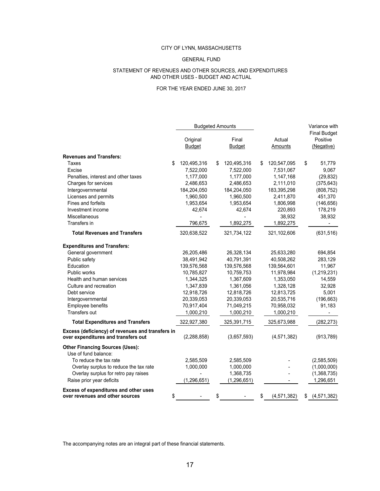#### GENERAL FUND

#### AND OTHER USES - BUDGET AND ACTUAL STATEMENT OF REVENUES AND OTHER SOURCES, AND EXPENDITURES

#### FOR THE YEAR ENDED JUNE 30, 2017

|                                                                                         | <b>Budgeted Amounts</b> |    |                        |                     | Variance with<br><b>Final Budget</b> |
|-----------------------------------------------------------------------------------------|-------------------------|----|------------------------|---------------------|--------------------------------------|
|                                                                                         | Original<br>Budget      |    | Final<br><b>Budget</b> | Actual<br>Amounts   | Positive<br>(Negative)               |
| <b>Revenues and Transfers:</b>                                                          |                         |    |                        |                     |                                      |
| \$<br>Taxes                                                                             | 120,495,316             | \$ | 120,495,316            | \$<br>120,547,095   | \$<br>51,779                         |
| Excise                                                                                  | 7,522,000               |    | 7,522,000              | 7,531,067           | 9,067                                |
| Penalties, interest and other taxes                                                     | 1,177,000               |    | 1,177,000              | 1,147,168           | (29, 832)                            |
| Charges for services                                                                    | 2,486,653               |    | 2,486,653              | 2,111,010           | (375, 643)                           |
| Intergovernmental                                                                       | 184,204,050             |    | 184,204,050            | 183,395,298         | (808, 752)                           |
| Licenses and permits                                                                    | 1,960,500               |    | 1,960,500              | 2,411,870           | 451,370                              |
| Fines and forfeits                                                                      | 1,953,654               |    | 1,953,654              | 1,806,998           | (146, 656)                           |
| Investment income                                                                       | 42,674                  |    | 42,674                 | 220,893             | 178,219                              |
| <b>Miscellaneous</b>                                                                    |                         |    |                        | 38,932              | 38,932                               |
| Transfers in                                                                            | 796,675                 |    | 1,892,275              | 1,892,275           |                                      |
| <b>Total Revenues and Transfers</b>                                                     | 320,638,522             |    | 321,734,122            | 321,102,606         | (631, 516)                           |
| <b>Expenditures and Transfers:</b>                                                      |                         |    |                        |                     |                                      |
| General government                                                                      | 26,205,486              |    | 26,328,134             | 25,633,280          | 694,854                              |
| Public safety                                                                           | 38,491,942              |    | 40,791,391             | 40,508,262          | 283,129                              |
| Education                                                                               | 139,576,568             |    | 139,576,568            | 139,564,601         | 11,967                               |
| Public works                                                                            | 10,785,827              |    | 10,759,753             | 11,978,984          | (1,219,231)                          |
| Health and human services                                                               | 1,344,325               |    | 1,367,609              | 1,353,050           | 14,559                               |
| Culture and recreation                                                                  | 1,347,839               |    | 1,361,056              | 1,328,128           | 32,928                               |
| Debt service                                                                            | 12,918,726              |    | 12,818,726             | 12,813,725          | 5,001                                |
| Intergovernmental                                                                       | 20,339,053              |    | 20,339,053             | 20,535,716          | (196, 663)                           |
| Employee benefits                                                                       | 70,917,404              |    | 71,049,215             | 70,958,032          | 91,183                               |
| Transfers out                                                                           | 1,000,210               |    | 1,000,210              | 1,000,210           |                                      |
| <b>Total Expenditures and Transfers</b>                                                 | 322,927,380             |    | 325,391,715            | 325,673,988         | (282, 273)                           |
| Excess (deficiency) of revenues and transfers in<br>over expenditures and transfers out | (2, 288, 858)           |    | (3,657,593)            | (4,571,382)         | (913, 789)                           |
| <b>Other Financing Sources (Uses):</b><br>Use of fund balance:                          |                         |    |                        |                     |                                      |
| To reduce the tax rate                                                                  | 2,585,509               |    | 2,585,509              |                     | (2,585,509)                          |
| Overlay surplus to reduce the tax rate                                                  | 1,000,000               |    | 1,000,000              |                     | (1,000,000)                          |
| Overlay surplus for retro pay raises                                                    |                         |    | 1,368,735              |                     | (1,368,735)                          |
| Raise prior year deficits                                                               | (1, 296, 651)           |    | (1, 296, 651)          |                     | 1,296,651                            |
| <b>Excess of expenditures and other uses</b>                                            |                         |    |                        |                     |                                      |
| \$<br>over revenues and other sources                                                   |                         | \$ |                        | \$<br>(4, 571, 382) | \$<br>(4,571,382)                    |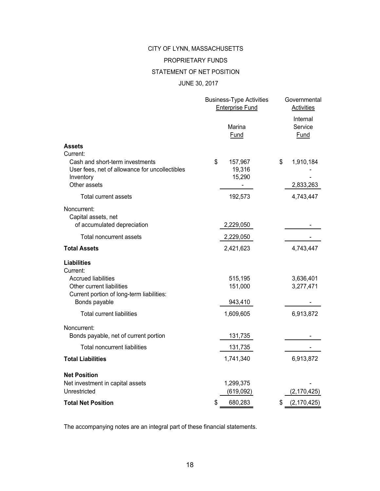# CITY OF LYNN, MASSACHUSETTS PROPRIETARY FUNDS

#### STATEMENT OF NET POSITION

#### JUNE 30, 2017

|                                                                                                                            | <b>Business-Type Activities</b><br><b>Enterprise Fund</b> | Governmental<br>Activities         |
|----------------------------------------------------------------------------------------------------------------------------|-----------------------------------------------------------|------------------------------------|
|                                                                                                                            | Marina<br>Fund                                            | Internal<br>Service<br><b>Fund</b> |
| <b>Assets</b>                                                                                                              |                                                           |                                    |
| Current:<br>Cash and short-term investments<br>User fees, net of allowance for uncollectibles<br>Inventory<br>Other assets | \$<br>157,967<br>19,316<br>15,290                         | \$<br>1,910,184<br>2,833,263       |
| <b>Total current assets</b>                                                                                                | 192,573                                                   | 4,743,447                          |
| Noncurrent:<br>Capital assets, net<br>of accumulated depreciation                                                          | 2,229,050                                                 |                                    |
| Total noncurrent assets                                                                                                    | 2,229,050                                                 |                                    |
| <b>Total Assets</b>                                                                                                        | 2,421,623                                                 | 4,743,447                          |
| <b>Liabilities</b><br>Current:                                                                                             |                                                           |                                    |
| <b>Accrued liabilities</b><br>Other current liabilities<br>Current portion of long-term liabilities:<br>Bonds payable      | 515,195<br>151,000<br>943,410                             | 3,636,401<br>3,277,471             |
| <b>Total current liabilities</b>                                                                                           | 1,609,605                                                 | 6,913,872                          |
| Noncurrent:<br>Bonds payable, net of current portion                                                                       | 131,735                                                   |                                    |
| <b>Total noncurrent liabilities</b>                                                                                        | 131,735                                                   |                                    |
| <b>Total Liabilities</b>                                                                                                   | 1,741,340                                                 | 6,913,872                          |
| <b>Net Position</b><br>Net investment in capital assets<br>Unrestricted                                                    | 1,299,375<br>(619,092)                                    | (2, 170, 425)                      |
| <b>Total Net Position</b>                                                                                                  | \$<br>680,283                                             | (2, 170, 425)<br>\$                |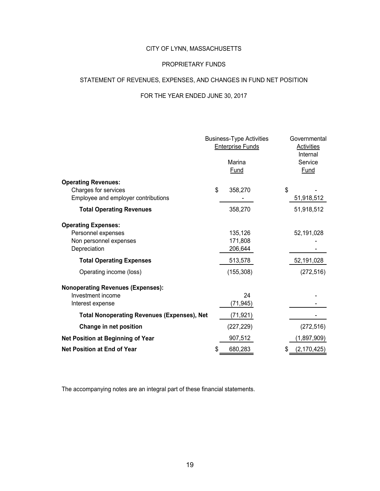#### PROPRIETARY FUNDS

#### STATEMENT OF REVENUES, EXPENSES, AND CHANGES IN FUND NET POSITION

# FOR THE YEAR ENDED JUNE 30, 2017

|                                                                                            |    | <b>Business-Type Activities</b><br><b>Enterprise Funds</b><br>Marina<br>Fund | Governmental<br><b>Activities</b><br>Internal<br>Service<br><b>Fund</b> |
|--------------------------------------------------------------------------------------------|----|------------------------------------------------------------------------------|-------------------------------------------------------------------------|
| <b>Operating Revenues:</b><br>Charges for services<br>Employee and employer contributions  | \$ | 358,270                                                                      | \$<br>51,918,512                                                        |
| <b>Total Operating Revenues</b>                                                            |    | 358,270                                                                      | 51,918,512                                                              |
| <b>Operating Expenses:</b><br>Personnel expenses<br>Non personnel expenses<br>Depreciation |    | 135,126<br>171,808<br>206,644                                                | 52,191,028                                                              |
| <b>Total Operating Expenses</b>                                                            |    | 513,578                                                                      | 52,191,028                                                              |
| Operating income (loss)                                                                    |    | (155, 308)                                                                   | (272, 516)                                                              |
| <b>Nonoperating Revenues (Expenses):</b><br>Investment income<br>Interest expense          |    | 24<br>(71,945)                                                               |                                                                         |
| <b>Total Nonoperating Revenues (Expenses), Net</b>                                         |    | (71,921)                                                                     |                                                                         |
| Change in net position                                                                     |    | (227, 229)                                                                   | (272, 516)                                                              |
| Net Position at Beginning of Year                                                          |    | 907,512                                                                      | (1,897,909)                                                             |
| <b>Net Position at End of Year</b>                                                         | S  | 680,283                                                                      | (2, 170, 425)                                                           |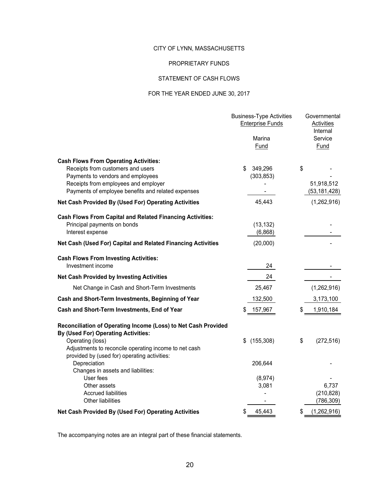#### PROPRIETARY FUNDS

#### STATEMENT OF CASH FLOWS

#### FOR THE YEAR ENDED JUNE 30, 2017

|                                                                                                                                                                                                                      | <b>Business-Type Activities</b><br><b>Enterprise Funds</b><br>Marina<br>Fund | Governmental<br><b>Activities</b><br>Internal<br>Service<br><b>Fund</b> |
|----------------------------------------------------------------------------------------------------------------------------------------------------------------------------------------------------------------------|------------------------------------------------------------------------------|-------------------------------------------------------------------------|
| <b>Cash Flows From Operating Activities:</b><br>Receipts from customers and users<br>Payments to vendors and employees<br>Receipts from employees and employer<br>Payments of employee benefits and related expenses | \$<br>349,296<br>(303, 853)                                                  | \$<br>51,918,512<br>(53, 181, 428)                                      |
| Net Cash Provided By (Used For) Operating Activities                                                                                                                                                                 | 45,443                                                                       | (1,262,916)                                                             |
| <b>Cash Flows From Capital and Related Financing Activities:</b><br>Principal payments on bonds<br>Interest expense<br>Net Cash (Used For) Capital and Related Financing Activities                                  | (13, 132)<br>(6,868)<br>(20,000)                                             |                                                                         |
| <b>Cash Flows From Investing Activities:</b><br>Investment income                                                                                                                                                    | 24                                                                           |                                                                         |
| <b>Net Cash Provided by Investing Activities</b>                                                                                                                                                                     | 24                                                                           |                                                                         |
| Net Change in Cash and Short-Term Investments                                                                                                                                                                        | 25,467                                                                       | (1,262,916)                                                             |
| Cash and Short-Term Investments, Beginning of Year                                                                                                                                                                   | 132,500                                                                      | 3,173,100                                                               |
| Cash and Short-Term Investments, End of Year                                                                                                                                                                         | 157,967                                                                      | \$<br>1,910,184                                                         |
| Reconciliation of Operating Income (Loss) to Net Cash Provided<br>By (Used For) Operating Activities:<br>Operating (loss)<br>Adjustments to reconcile operating income to net cash                                   | \$<br>(155, 308)                                                             | \$<br>(272, 516)                                                        |
| provided by (used for) operating activities:<br>Depreciation<br>Changes in assets and liabilities:                                                                                                                   | 206,644                                                                      |                                                                         |
| User fees<br>Other assets<br><b>Accrued liabilities</b><br>Other liabilities                                                                                                                                         | (8,974)<br>3,081                                                             | 6,737<br>(210, 828)<br>(786, 309)                                       |
| Net Cash Provided By (Used For) Operating Activities                                                                                                                                                                 | \$<br>45,443                                                                 | \$<br>(1,262,916)                                                       |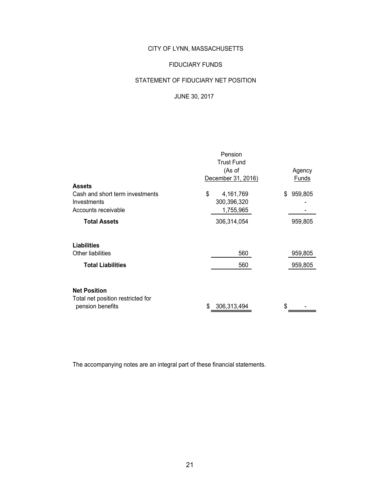#### FIDUCIARY FUNDS

### STATEMENT OF FIDUCIARY NET POSITION

#### JUNE 30, 2017

|                                   | Pension            |               |  |  |  |
|-----------------------------------|--------------------|---------------|--|--|--|
|                                   | <b>Trust Fund</b>  |               |  |  |  |
|                                   | (As of             | Agency        |  |  |  |
|                                   | December 31, 2016) | Funds         |  |  |  |
| <b>Assets</b>                     |                    |               |  |  |  |
| Cash and short term investments   | \$<br>4,161,769    | 959,805<br>\$ |  |  |  |
| Investments                       | 300,396,320        |               |  |  |  |
| Accounts receivable               | 1,755,965          |               |  |  |  |
| <b>Total Assets</b>               | 306,314,054        | 959,805       |  |  |  |
|                                   |                    |               |  |  |  |
| <b>Liabilities</b>                |                    |               |  |  |  |
| Other liabilities                 | 560                | 959,805       |  |  |  |
| <b>Total Liabilities</b>          | 560                | 959,805       |  |  |  |
|                                   |                    |               |  |  |  |
| <b>Net Position</b>               |                    |               |  |  |  |
| Total net position restricted for |                    |               |  |  |  |
| pension benefits                  | 306,313,494<br>\$  | \$            |  |  |  |
|                                   |                    |               |  |  |  |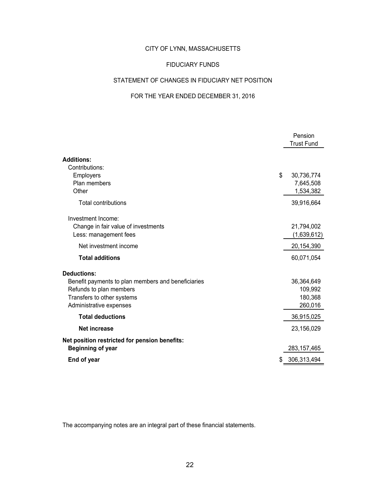#### FIDUCIARY FUNDS

#### STATEMENT OF CHANGES IN FIDUCIARY NET POSITION

#### FOR THE YEAR ENDED DECEMBER 31, 2016

|                                                    | Pension<br><b>Trust Fund</b> |
|----------------------------------------------------|------------------------------|
| <b>Additions:</b>                                  |                              |
| Contributions:                                     |                              |
| Employers                                          | \$<br>30,736,774             |
| Plan members                                       | 7,645,508                    |
| Other                                              | 1,534,382                    |
| <b>Total contributions</b>                         | 39,916,664                   |
| Investment Income:                                 |                              |
| Change in fair value of investments                | 21,794,002                   |
| Less: management fees                              | (1,639,612)                  |
| Net investment income                              | 20,154,390                   |
| <b>Total additions</b>                             | 60,071,054                   |
| <b>Deductions:</b>                                 |                              |
| Benefit payments to plan members and beneficiaries | 36,364,649                   |
| Refunds to plan members                            | 109,992                      |
| Transfers to other systems                         | 180,368                      |
| Administrative expenses                            | 260,016                      |
| <b>Total deductions</b>                            | 36,915,025                   |
| <b>Net increase</b>                                | 23,156,029                   |
| Net position restricted for pension benefits:      |                              |
| <b>Beginning of year</b>                           | 283, 157, 465                |
| End of year                                        | 306,313,494                  |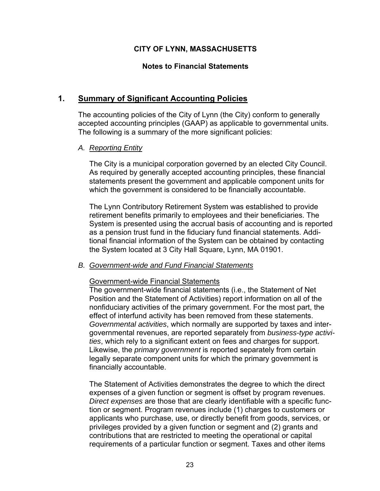### **Notes to Financial Statements**

# **1. Summary of Significant Accounting Policies**

The accounting policies of the City of Lynn (the City) conform to generally accepted accounting principles (GAAP) as applicable to governmental units. The following is a summary of the more significant policies:

### *A. Reporting Entity*

The City is a municipal corporation governed by an elected City Council. As required by generally accepted accounting principles, these financial statements present the government and applicable component units for which the government is considered to be financially accountable.

The Lynn Contributory Retirement System was established to provide retirement benefits primarily to employees and their beneficiaries. The System is presented using the accrual basis of accounting and is reported as a pension trust fund in the fiduciary fund financial statements. Additional financial information of the System can be obtained by contacting the System located at 3 City Hall Square, Lynn, MA 01901.

#### *B. Government-wide and Fund Financial Statements*

#### Government-wide Financial Statements

The government-wide financial statements (i.e., the Statement of Net Position and the Statement of Activities) report information on all of the nonfiduciary activities of the primary government. For the most part, the effect of interfund activity has been removed from these statements. *Governmental activities*, which normally are supported by taxes and intergovernmental revenues, are reported separately from *business-type activities*, which rely to a significant extent on fees and charges for support. Likewise, the *primary government* is reported separately from certain legally separate component units for which the primary government is financially accountable.

The Statement of Activities demonstrates the degree to which the direct expenses of a given function or segment is offset by program revenues. *Direct expenses* are those that are clearly identifiable with a specific function or segment. Program revenues include (1) charges to customers or applicants who purchase, use, or directly benefit from goods, services, or privileges provided by a given function or segment and (2) grants and contributions that are restricted to meeting the operational or capital requirements of a particular function or segment. Taxes and other items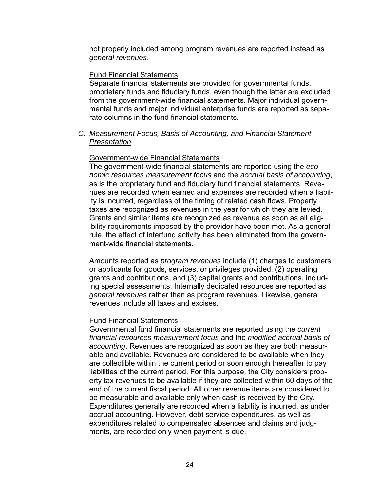not properly included among program revenues are reported instead as *general revenues*.

#### Fund Financial Statements

Separate financial statements are provided for governmental funds, proprietary funds and fiduciary funds, even though the latter are excluded from the government-wide financial statements**.** Major individual governmental funds and major individual enterprise funds are reported as separate columns in the fund financial statements.

*C. Measurement Focus, Basis of Accounting, and Financial Statement Presentation* 

#### Government-wide Financial Statements

The government-wide financial statements are reported using the *economic resources measurement focus* and the *accrual basis of accounting*, as is the proprietary fund and fiduciary fund financial statements. Revenues are recorded when earned and expenses are recorded when a liability is incurred, regardless of the timing of related cash flows. Property taxes are recognized as revenues in the year for which they are levied. Grants and similar items are recognized as revenue as soon as all eligibility requirements imposed by the provider have been met. As a general rule, the effect of interfund activity has been eliminated from the government-wide financial statements.

Amounts reported as *program revenues* include (1) charges to customers or applicants for goods, services, or privileges provided, (2) operating grants and contributions, and (3) capital grants and contributions, including special assessments. Internally dedicated resources are reported as *general revenues* rather than as program revenues. Likewise, general revenues include all taxes and excises.

#### Fund Financial Statements

Governmental fund financial statements are reported using the *current financial resources measurement focus* and the *modified accrual basis of accounting*. Revenues are recognized as soon as they are both measurable and available. Revenues are considered to be available when they are collectible within the current period or soon enough thereafter to pay liabilities of the current period. For this purpose, the City considers property tax revenues to be available if they are collected within 60 days of the end of the current fiscal period. All other revenue items are considered to be measurable and available only when cash is received by the City. Expenditures generally are recorded when a liability is incurred, as under accrual accounting. However, debt service expenditures, as well as expenditures related to compensated absences and claims and judgments, are recorded only when payment is due.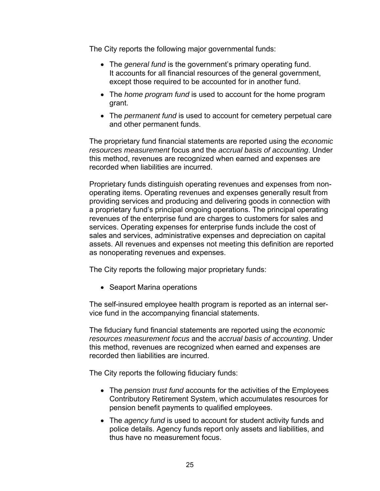The City reports the following major governmental funds:

- The *general fund* is the government's primary operating fund. It accounts for all financial resources of the general government, except those required to be accounted for in another fund.
- The *home program fund* is used to account for the home program grant.
- The *permanent fund* is used to account for cemetery perpetual care and other permanent funds.

The proprietary fund financial statements are reported using the *economic resources measurement* focus and the *accrual basis of accounting*. Under this method, revenues are recognized when earned and expenses are recorded when liabilities are incurred.

Proprietary funds distinguish operating revenues and expenses from nonoperating items. Operating revenues and expenses generally result from providing services and producing and delivering goods in connection with a proprietary fund's principal ongoing operations. The principal operating revenues of the enterprise fund are charges to customers for sales and services. Operating expenses for enterprise funds include the cost of sales and services, administrative expenses and depreciation on capital assets. All revenues and expenses not meeting this definition are reported as nonoperating revenues and expenses.

The City reports the following major proprietary funds:

• Seaport Marina operations

The self-insured employee health program is reported as an internal service fund in the accompanying financial statements.

The fiduciary fund financial statements are reported using the *economic resources measurement focus* and the *accrual basis of accounting*. Under this method, revenues are recognized when earned and expenses are recorded then liabilities are incurred.

The City reports the following fiduciary funds:

- The *pension trust fund* accounts for the activities of the Employees Contributory Retirement System, which accumulates resources for pension benefit payments to qualified employees.
- The *agency fund* is used to account for student activity funds and police details. Agency funds report only assets and liabilities, and thus have no measurement focus.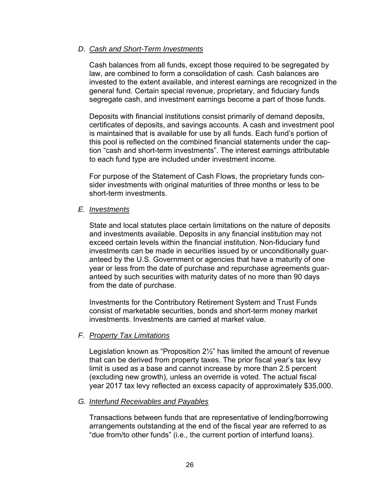#### *D. Cash and Short-Term Investments*

Cash balances from all funds, except those required to be segregated by law, are combined to form a consolidation of cash. Cash balances are invested to the extent available, and interest earnings are recognized in the general fund. Certain special revenue, proprietary, and fiduciary funds segregate cash, and investment earnings become a part of those funds.

Deposits with financial institutions consist primarily of demand deposits, certificates of deposits, and savings accounts. A cash and investment pool is maintained that is available for use by all funds. Each fund's portion of this pool is reflected on the combined financial statements under the caption "cash and short-term investments". The interest earnings attributable to each fund type are included under investment income.

For purpose of the Statement of Cash Flows, the proprietary funds consider investments with original maturities of three months or less to be short-term investments.

#### *E. Investments*

State and local statutes place certain limitations on the nature of deposits and investments available. Deposits in any financial institution may not exceed certain levels within the financial institution. Non-fiduciary fund investments can be made in securities issued by or unconditionally guaranteed by the U.S. Government or agencies that have a maturity of one year or less from the date of purchase and repurchase agreements guaranteed by such securities with maturity dates of no more than 90 days from the date of purchase.

Investments for the Contributory Retirement System and Trust Funds consist of marketable securities, bonds and short-term money market investments. Investments are carried at market value.

#### *F. Property Tax Limitations*

Legislation known as "Proposition 2½" has limited the amount of revenue that can be derived from property taxes. The prior fiscal year's tax levy limit is used as a base and cannot increase by more than 2.5 percent (excluding new growth), unless an override is voted. The actual fiscal year 2017 tax levy reflected an excess capacity of approximately \$35,000.

#### *G. Interfund Receivables and Payables*

Transactions between funds that are representative of lending/borrowing arrangements outstanding at the end of the fiscal year are referred to as "due from/to other funds" (i.e., the current portion of interfund loans).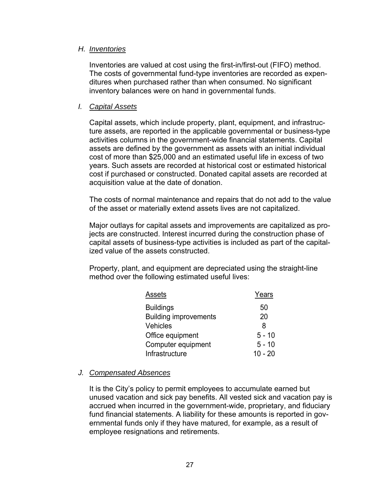#### *H. Inventories*

Inventories are valued at cost using the first-in/first-out (FIFO) method. The costs of governmental fund-type inventories are recorded as expenditures when purchased rather than when consumed. No significant inventory balances were on hand in governmental funds.

#### *I. Capital Assets*

Capital assets, which include property, plant, equipment, and infrastructure assets, are reported in the applicable governmental or business-type activities columns in the government-wide financial statements. Capital assets are defined by the government as assets with an initial individual cost of more than \$25,000 and an estimated useful life in excess of two years. Such assets are recorded at historical cost or estimated historical cost if purchased or constructed. Donated capital assets are recorded at acquisition value at the date of donation.

The costs of normal maintenance and repairs that do not add to the value of the asset or materially extend assets lives are not capitalized.

Major outlays for capital assets and improvements are capitalized as projects are constructed. Interest incurred during the construction phase of capital assets of business-type activities is included as part of the capitalized value of the assets constructed.

Property, plant, and equipment are depreciated using the straight-line method over the following estimated useful lives:

| Assets                       | Years     |
|------------------------------|-----------|
| <b>Buildings</b>             | 50        |
| <b>Building improvements</b> | 20        |
| <b>Vehicles</b>              | 8         |
| Office equipment             | $5 - 10$  |
| Computer equipment           | $5 - 10$  |
| Infrastructure               | $10 - 20$ |
|                              |           |

# *J. Compensated Absences*

It is the City's policy to permit employees to accumulate earned but unused vacation and sick pay benefits. All vested sick and vacation pay is accrued when incurred in the government-wide, proprietary, and fiduciary fund financial statements. A liability for these amounts is reported in governmental funds only if they have matured, for example, as a result of employee resignations and retirements.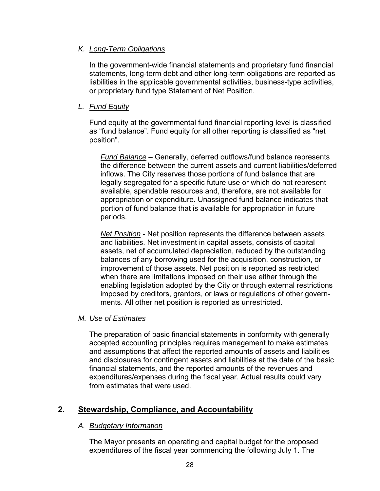### *K. Long-Term Obligations*

In the government-wide financial statements and proprietary fund financial statements, long-term debt and other long-term obligations are reported as liabilities in the applicable governmental activities, business-type activities, or proprietary fund type Statement of Net Position.

## *L. Fund Equity*

Fund equity at the governmental fund financial reporting level is classified as "fund balance". Fund equity for all other reporting is classified as "net position".

*Fund Balance* – Generally, deferred outflows/fund balance represents the difference between the current assets and current liabilities/deferred inflows. The City reserves those portions of fund balance that are legally segregated for a specific future use or which do not represent available, spendable resources and, therefore, are not available for appropriation or expenditure. Unassigned fund balance indicates that portion of fund balance that is available for appropriation in future periods.

*Net Position* - Net position represents the difference between assets and liabilities. Net investment in capital assets, consists of capital assets, net of accumulated depreciation, reduced by the outstanding balances of any borrowing used for the acquisition, construction, or improvement of those assets. Net position is reported as restricted when there are limitations imposed on their use either through the enabling legislation adopted by the City or through external restrictions imposed by creditors, grantors, or laws or regulations of other governments. All other net position is reported as unrestricted.

#### *M. Use of Estimates*

The preparation of basic financial statements in conformity with generally accepted accounting principles requires management to make estimates and assumptions that affect the reported amounts of assets and liabilities and disclosures for contingent assets and liabilities at the date of the basic financial statements, and the reported amounts of the revenues and expenditures/expenses during the fiscal year. Actual results could vary from estimates that were used.

# **2. Stewardship, Compliance, and Accountability**

#### *A. Budgetary Information*

The Mayor presents an operating and capital budget for the proposed expenditures of the fiscal year commencing the following July 1. The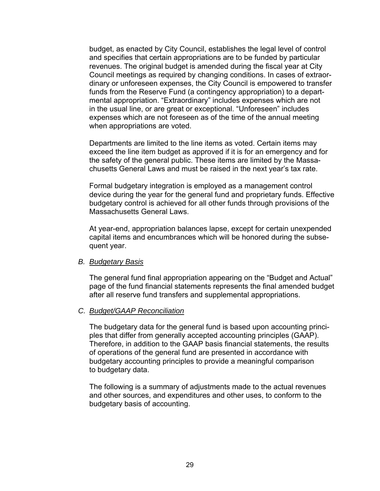budget, as enacted by City Council, establishes the legal level of control and specifies that certain appropriations are to be funded by particular revenues. The original budget is amended during the fiscal year at City Council meetings as required by changing conditions. In cases of extraordinary or unforeseen expenses, the City Council is empowered to transfer funds from the Reserve Fund (a contingency appropriation) to a departmental appropriation. "Extraordinary" includes expenses which are not in the usual line, or are great or exceptional. "Unforeseen" includes expenses which are not foreseen as of the time of the annual meeting when appropriations are voted.

Departments are limited to the line items as voted. Certain items may exceed the line item budget as approved if it is for an emergency and for the safety of the general public. These items are limited by the Massachusetts General Laws and must be raised in the next year's tax rate.

Formal budgetary integration is employed as a management control device during the year for the general fund and proprietary funds. Effective budgetary control is achieved for all other funds through provisions of the Massachusetts General Laws.

At year-end, appropriation balances lapse, except for certain unexpended capital items and encumbrances which will be honored during the subsequent year.

#### *B. Budgetary Basis*

The general fund final appropriation appearing on the "Budget and Actual" page of the fund financial statements represents the final amended budget after all reserve fund transfers and supplemental appropriations.

#### *C. Budget/GAAP Reconciliation*

The budgetary data for the general fund is based upon accounting principles that differ from generally accepted accounting principles (GAAP). Therefore, in addition to the GAAP basis financial statements, the results of operations of the general fund are presented in accordance with budgetary accounting principles to provide a meaningful comparison to budgetary data.

The following is a summary of adjustments made to the actual revenues and other sources, and expenditures and other uses, to conform to the budgetary basis of accounting.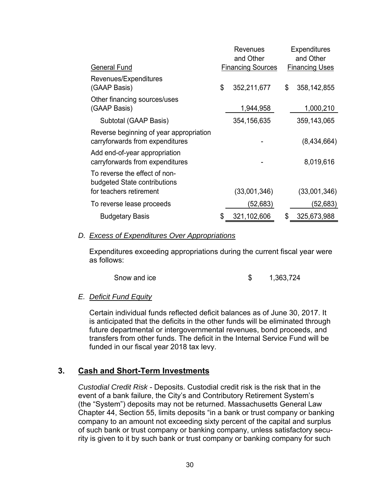|                                                                            | Revenues<br>and Other    | <b>Expenditures</b><br>and Other |
|----------------------------------------------------------------------------|--------------------------|----------------------------------|
| <b>General Fund</b>                                                        | <b>Financing Sources</b> | <b>Financing Uses</b>            |
| Revenues/Expenditures<br>(GAAP Basis)                                      | \$<br>352,211,677        | \$<br>358, 142, 855              |
| Other financing sources/uses<br>(GAAP Basis)                               | 1,944,958                | 1,000,210                        |
| Subtotal (GAAP Basis)                                                      | 354, 156, 635            | 359, 143, 065                    |
| Reverse beginning of year appropriation<br>carryforwards from expenditures |                          | (8,434,664)                      |
| Add end-of-year appropriation<br>carryforwards from expenditures           |                          | 8,019,616                        |
| To reverse the effect of non-<br>budgeted State contributions              |                          |                                  |
| for teachers retirement                                                    | (33,001,346)             | (33,001,346)                     |
| To reverse lease proceeds                                                  | (52,683)                 | (52,683)                         |
| <b>Budgetary Basis</b>                                                     | 321,102,606              | 325,673,988                      |

#### *D. Excess of Expenditures Over Appropriations*

Expenditures exceeding appropriations during the current fiscal year were as follows:

| Snow and ice |  | 1,363,724 |
|--------------|--|-----------|
|--------------|--|-----------|

#### *E. Deficit Fund Equity*

Certain individual funds reflected deficit balances as of June 30, 2017. It is anticipated that the deficits in the other funds will be eliminated through future departmental or intergovernmental revenues, bond proceeds, and transfers from other funds. The deficit in the Internal Service Fund will be funded in our fiscal year 2018 tax levy.

# **3. Cash and Short-Term Investments**

*Custodial Credit Risk* - Deposits. Custodial credit risk is the risk that in the event of a bank failure, the City's and Contributory Retirement System's (the "System") deposits may not be returned. Massachusetts General Law Chapter 44, Section 55, limits deposits "in a bank or trust company or banking company to an amount not exceeding sixty percent of the capital and surplus of such bank or trust company or banking company, unless satisfactory security is given to it by such bank or trust company or banking company for such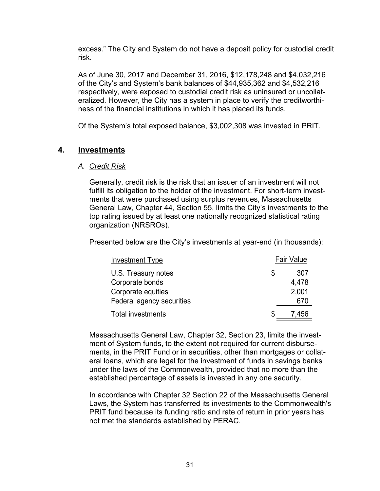excess." The City and System do not have a deposit policy for custodial credit risk.

As of June 30, 2017 and December 31, 2016, \$12,178,248 and \$4,032,216 of the City's and System's bank balances of \$44,935,362 and \$4,532,216 respectively, were exposed to custodial credit risk as uninsured or uncollateralized. However, the City has a system in place to verify the creditworthiness of the financial institutions in which it has placed its funds.

Of the System's total exposed balance, \$3,002,308 was invested in PRIT.

# **4. Investments**

#### *A. Credit Risk*

Generally, credit risk is the risk that an issuer of an investment will not fulfill its obligation to the holder of the investment. For short-term investments that were purchased using surplus revenues, Massachusetts General Law, Chapter 44, Section 55, limits the City's investments to the top rating issued by at least one nationally recognized statistical rating organization (NRSROs).

Presented below are the City's investments at year-end (in thousands):

| Investment Type           | <b>Fair Value</b> |
|---------------------------|-------------------|
| U.S. Treasury notes       | \$<br>307         |
| Corporate bonds           | 4,478             |
| Corporate equities        | 2,001             |
| Federal agency securities | 670               |
| <b>Total investments</b>  | \$<br>7.456       |

Massachusetts General Law, Chapter 32, Section 23, limits the investment of System funds, to the extent not required for current disbursements, in the PRIT Fund or in securities, other than mortgages or collateral loans, which are legal for the investment of funds in savings banks under the laws of the Commonwealth, provided that no more than the established percentage of assets is invested in any one security.

In accordance with Chapter 32 Section 22 of the Massachusetts General Laws, the System has transferred its investments to the Commonwealth's PRIT fund because its funding ratio and rate of return in prior years has not met the standards established by PERAC.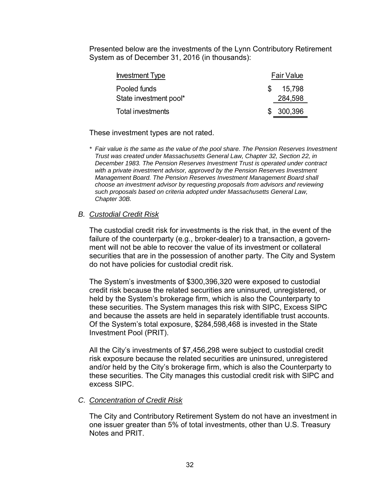Presented below are the investments of the Lynn Contributory Retirement System as of December 31, 2016 (in thousands):

| <b>Investment Type</b> | <b>Fair Value</b> |
|------------------------|-------------------|
| Pooled funds           | 15,798            |
| State investment pool* | 284,598           |
| Total investments      | \$300,396         |

These investment types are not rated.

*\* Fair value is the same as the value of the pool share. The Pension Reserves Investment Trust was created under Massachusetts General Law, Chapter 32, Section 22, in December 1983. The Pension Reserves Investment Trust is operated under contract*  with a private investment advisor, approved by the Pension Reserves Investment *Management Board. The Pension Reserves Investment Management Board shall choose an investment advisor by requesting proposals from advisors and reviewing such proposals based on criteria adopted under Massachusetts General Law, Chapter 30B.* 

### *B. Custodial Credit Risk*

The custodial credit risk for investments is the risk that, in the event of the failure of the counterparty (e.g., broker-dealer) to a transaction, a government will not be able to recover the value of its investment or collateral securities that are in the possession of another party. The City and System do not have policies for custodial credit risk.

The System's investments of \$300,396,320 were exposed to custodial credit risk because the related securities are uninsured, unregistered, or held by the System's brokerage firm, which is also the Counterparty to these securities. The System manages this risk with SIPC, Excess SIPC and because the assets are held in separately identifiable trust accounts. Of the System's total exposure, \$284,598,468 is invested in the State Investment Pool (PRIT).

All the City's investments of \$7,456,298 were subject to custodial credit risk exposure because the related securities are uninsured, unregistered and/or held by the City's brokerage firm, which is also the Counterparty to these securities. The City manages this custodial credit risk with SIPC and excess SIPC.

#### *C. Concentration of Credit Risk*

The City and Contributory Retirement System do not have an investment in one issuer greater than 5% of total investments, other than U.S. Treasury Notes and PRIT.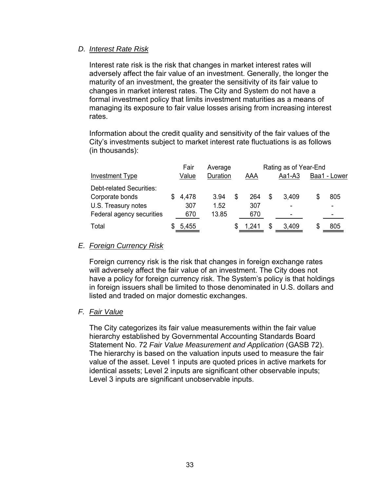#### *D. Interest Rate Risk*

Interest rate risk is the risk that changes in market interest rates will adversely affect the fair value of an investment. Generally, the longer the maturity of an investment, the greater the sensitivity of its fair value to changes in market interest rates. The City and System do not have a formal investment policy that limits investment maturities as a means of managing its exposure to fair value losses arising from increasing interest rates.

Information about the credit quality and sensitivity of the fair values of the City's investments subject to market interest rate fluctuations is as follows (in thousands):

|                           | Fair  |          | Rating as of Year-End<br>Average |       |   |                          |              |  |
|---------------------------|-------|----------|----------------------------------|-------|---|--------------------------|--------------|--|
| <b>Investment Type</b>    | Value | Duration |                                  | AAA   |   | $Aa1-A3$                 | Baa1 - Lower |  |
| Debt-related Securities:  |       |          |                                  |       |   |                          |              |  |
| Corporate bonds           | 4,478 | 3.94     | S                                | 264   | S | 3,409                    | 805          |  |
| U.S. Treasury notes       | 307   | 1.52     |                                  | 307   |   | $\overline{\phantom{a}}$ | ۰            |  |
| Federal agency securities | 670   | 13.85    |                                  | 670   |   | $\overline{\phantom{a}}$ |              |  |
| Total                     | 5,455 |          |                                  | 1.241 | S | 3,409                    | \$<br>805    |  |

## *E. Foreign Currency Risk*

Foreign currency risk is the risk that changes in foreign exchange rates will adversely affect the fair value of an investment. The City does not have a policy for foreign currency risk. The System's policy is that holdings in foreign issuers shall be limited to those denominated in U.S. dollars and listed and traded on major domestic exchanges.

#### *F. Fair Value*

The City categorizes its fair value measurements within the fair value hierarchy established by Governmental Accounting Standards Board Statement No. 72 *Fair Value Measurement and Application* (GASB 72). The hierarchy is based on the valuation inputs used to measure the fair value of the asset. Level 1 inputs are quoted prices in active markets for identical assets; Level 2 inputs are significant other observable inputs; Level 3 inputs are significant unobservable inputs.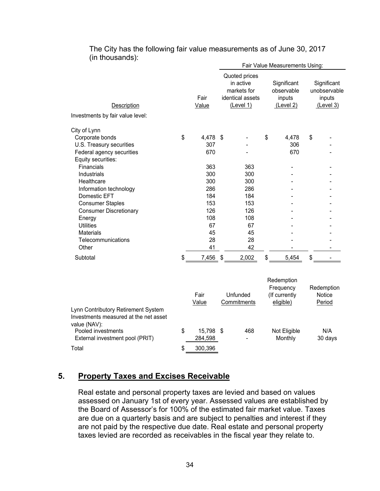| $(111$ and download.                                                                                                                                                                                                                                                                                                                                  |    | Fair Value Measurements Using:                                                                |                                                                              |    |                                                                |    |                                                    |  |  |
|-------------------------------------------------------------------------------------------------------------------------------------------------------------------------------------------------------------------------------------------------------------------------------------------------------------------------------------------------------|----|-----------------------------------------------------------------------------------------------|------------------------------------------------------------------------------|----|----------------------------------------------------------------|----|----------------------------------------------------|--|--|
| Description                                                                                                                                                                                                                                                                                                                                           |    | Fair<br>Value                                                                                 | Quoted prices<br>in active<br>markets for<br>identical assets<br>(Level 1)   |    | Significant<br>observable<br>inputs<br>(Level 2)               |    | Significant<br>unobservable<br>inputs<br>(Level 3) |  |  |
| Investments by fair value level:                                                                                                                                                                                                                                                                                                                      |    |                                                                                               |                                                                              |    |                                                                |    |                                                    |  |  |
| City of Lynn<br>Corporate bonds<br>U.S. Treasury securities<br>Federal agency securities<br>Equity securities:<br><b>Financials</b><br><b>Industrials</b><br>Healthcare<br>Information technology<br>Domestic EFT<br><b>Consumer Staples</b><br><b>Consumer Discretionary</b><br>Energy<br><b>Utilities</b><br><b>Materials</b><br>Telecommunications | \$ | 4,478<br>307<br>670<br>363<br>300<br>300<br>286<br>184<br>153<br>126<br>108<br>67<br>45<br>28 | \$<br>363<br>300<br>300<br>286<br>184<br>153<br>126<br>108<br>67<br>45<br>28 | \$ | 4,478<br>306<br>670                                            | \$ |                                                    |  |  |
| Other                                                                                                                                                                                                                                                                                                                                                 |    | 41                                                                                            | 42                                                                           |    |                                                                |    |                                                    |  |  |
| Subtotal<br>Lynn Contributory Retirement System                                                                                                                                                                                                                                                                                                       | \$ | 7,456<br>Fair<br>Value                                                                        | \$<br>2,002<br>Unfunded<br>Commitments                                       | \$ | 5,454<br>Redemption<br>Frequency<br>(If currently<br>eligible) | \$ | Redemption<br>Notice<br>Period                     |  |  |
| Investments measured at the net asset                                                                                                                                                                                                                                                                                                                 |    |                                                                                               |                                                                              |    |                                                                |    |                                                    |  |  |

The City has the following fair value measurements as of June 30, 2017 (in thousands):

# **5. Property Taxes and Excises Receivable**

Total \$ 300,396

value (NAV):

Real estate and personal property taxes are levied and based on values assessed on January 1st of every year. Assessed values are established by the Board of Assessor's for 100% of the estimated fair market value. Taxes are due on a quarterly basis and are subject to penalties and interest if they are not paid by the respective due date. Real estate and personal property taxes levied are recorded as receivables in the fiscal year they relate to.

Pooled investments **by Strategy \$** 15,798 \$ 468 Not Eligible N/A External investment pool (PRIT)  $284,598$  - Monthly 30 days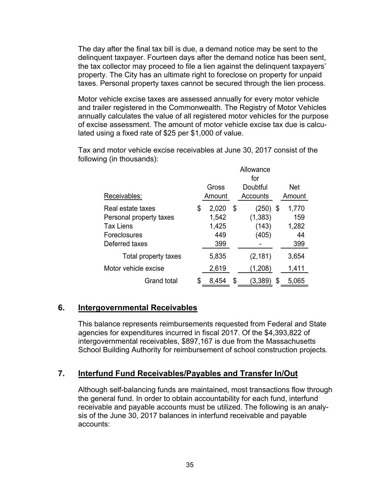The day after the final tax bill is due, a demand notice may be sent to the delinquent taxpayer. Fourteen days after the demand notice has been sent, the tax collector may proceed to file a lien against the delinquent taxpayers' property. The City has an ultimate right to foreclose on property for unpaid taxes. Personal property taxes cannot be secured through the lien process.

Motor vehicle excise taxes are assessed annually for every motor vehicle and trailer registered in the Commonwealth. The Registry of Motor Vehicles annually calculates the value of all registered motor vehicles for the purpose of excise assessment. The amount of motor vehicle excise tax due is calculated using a fixed rate of \$25 per \$1,000 of value.

Tax and motor vehicle excise receivables at June 30, 2017 consist of the following (in thousands):

|                         | Allowance<br>for |        |    |          |    |            |
|-------------------------|------------------|--------|----|----------|----|------------|
|                         |                  | Gross  |    | Doubtful |    | <b>Net</b> |
| Receivables:            |                  | Amount |    | Accounts |    | Amount     |
| Real estate taxes       | \$               | 2,020  | \$ | (250)    | S. | 1,770      |
| Personal property taxes |                  | 1,542  |    | (1, 383) |    | 159        |
| <b>Tax Liens</b>        |                  | 1,425  |    | (143)    |    | 1,282      |
| Foreclosures            |                  | 449    |    | (405)    |    | 44         |
| Deferred taxes          |                  | 399    |    |          |    | 399        |
| Total property taxes    |                  | 5,835  |    | (2, 181) |    | 3,654      |
| Motor vehicle excise    |                  | 2,619  |    | (1,208)  |    | 1,411      |
| <b>Grand total</b>      | \$               | 8,454  | \$ | 3,389    | S  | 5.065      |

# **6. Intergovernmental Receivables**

This balance represents reimbursements requested from Federal and State agencies for expenditures incurred in fiscal 2017. Of the \$4,393,822 of intergovernmental receivables, \$897,167 is due from the Massachusetts School Building Authority for reimbursement of school construction projects.

# **7. Interfund Fund Receivables/Payables and Transfer In/Out**

Although self-balancing funds are maintained, most transactions flow through the general fund. In order to obtain accountability for each fund, interfund receivable and payable accounts must be utilized. The following is an analysis of the June 30, 2017 balances in interfund receivable and payable accounts: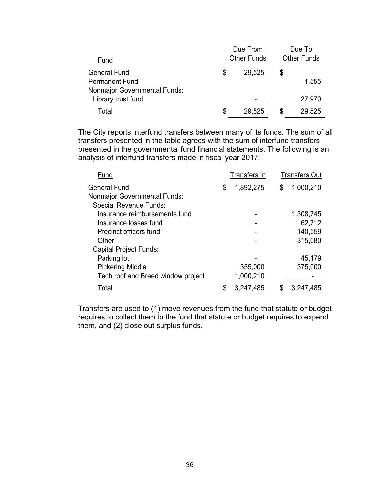| Fund                                                                                |   | Due From<br><b>Other Funds</b> |   | Due To<br><b>Other Funds</b> |
|-------------------------------------------------------------------------------------|---|--------------------------------|---|------------------------------|
| <b>General Fund</b><br><b>Permanent Fund</b><br><b>Nonmajor Governmental Funds:</b> | S | 29,525                         | S | 1,555                        |
| Library trust fund                                                                  |   |                                |   | 27,970                       |
| Total                                                                               | S | 29,525                         |   | 29,525                       |

The City reports interfund transfers between many of its funds. The sum of all transfers presented in the table agrees with the sum of interfund transfers presented in the governmental fund financial statements. The following is an analysis of interfund transfers made in fiscal year 2017:

| Fund                               | <b>Transfers In</b> | <b>Transfers Out</b> |
|------------------------------------|---------------------|----------------------|
| <b>General Fund</b>                | \$<br>1,892,275     | \$<br>1,000,210      |
| Nonmajor Governmental Funds:       |                     |                      |
| <b>Special Revenue Funds:</b>      |                     |                      |
| Insurance reimbursements fund      |                     | 1,308,745            |
| Insurance losses fund              |                     | 62,712               |
| Precinct officers fund             |                     | 140,559              |
| Other                              |                     | 315,080              |
| <b>Capital Project Funds:</b>      |                     |                      |
| Parking lot                        |                     | 45,179               |
| <b>Pickering Middle</b>            | 355,000             | 375,000              |
| Tech roof and Breed window project | 1,000,210           |                      |
| Total                              | 3,247,485           | 3,247,485            |

Transfers are used to (1) move revenues from the fund that statute or budget requires to collect them to the fund that statute or budget requires to expend them, and (2) close out surplus funds.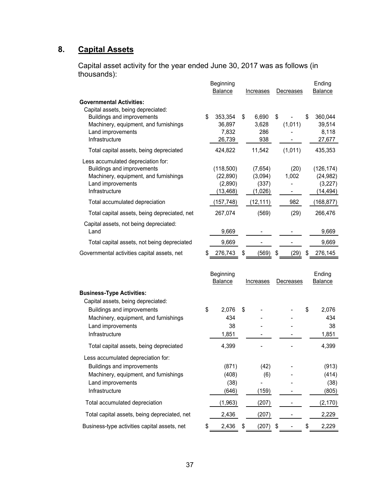# **8. Capital Assets**

Capital asset activity for the year ended June 30, 2017 was as follows (in thousands):

|                                                                                                                                                                                      |    | Beginning<br>Balance                           | Increases                              | Decreases        | Ending<br><b>Balance</b>                        |
|--------------------------------------------------------------------------------------------------------------------------------------------------------------------------------------|----|------------------------------------------------|----------------------------------------|------------------|-------------------------------------------------|
| <b>Governmental Activities:</b><br>Capital assets, being depreciated:<br>Buildings and improvements<br>Machinery, equipment, and furnishings<br>Land improvements<br>Infrastructure  | \$ | 353,354<br>36,897<br>7,832<br>26,739           | \$<br>6,690<br>3,628<br>286<br>938     | \$<br>(1,011)    | \$<br>360,044<br>39,514<br>8,118<br>27,677      |
| Total capital assets, being depreciated                                                                                                                                              |    | 424,822                                        | 11,542                                 | (1,011)          | 435,353                                         |
| Less accumulated depreciation for:<br>Buildings and improvements<br>Machinery, equipment, and furnishings<br>Land improvements<br>Infrastructure                                     |    | (118,500)<br>(22, 890)<br>(2,890)<br>(13, 468) | (7,654)<br>(3,094)<br>(337)<br>(1,026) | (20)<br>1,002    | (126, 174)<br>(24, 982)<br>(3,227)<br>(14, 494) |
| Total accumulated depreciation                                                                                                                                                       |    | (157, 748)                                     | (12, 111)                              | 982              | (168, 877)                                      |
| Total capital assets, being depreciated, net                                                                                                                                         |    | 267,074                                        | (569)                                  | (29)             | 266,476                                         |
| Capital assets, not being depreciated:<br>Land                                                                                                                                       |    | 9,669                                          |                                        |                  | 9,669                                           |
| Total capital assets, not being depreciated                                                                                                                                          |    | 9,669                                          |                                        |                  | 9,669                                           |
| Governmental activities capital assets, net                                                                                                                                          | S  | 276,743                                        | \$<br>(569)                            | \$<br>(29)       | 276,145                                         |
|                                                                                                                                                                                      |    | Beginning<br>Balance                           | Increases                              | <b>Decreases</b> | Ending<br>Balance                               |
| <b>Business-Type Activities:</b><br>Capital assets, being depreciated:<br>Buildings and improvements<br>Machinery, equipment, and furnishings<br>Land improvements<br>Infrastructure | \$ | 2,076<br>434<br>38<br>1,851                    | \$                                     |                  | \$<br>2,076<br>434<br>38<br>1,851               |
| Total capital assets, being depreciated                                                                                                                                              |    | 4,399                                          |                                        |                  | 4,399                                           |
| Less accumulated depreciation for:<br>Buildings and improvements<br>Machinery, equipment, and furnishings<br>Land improvements<br>Infrastructure                                     |    | (871)<br>(408)<br>(38)<br>(646)                | (42)<br>(6)<br>(159)                   |                  | (913)<br>(414)<br>(38)<br>(805)                 |
| Total accumulated depreciation                                                                                                                                                       |    | (1,963)                                        | (207)                                  |                  | (2, 170)                                        |
| Total capital assets, being depreciated, net                                                                                                                                         |    | 2,436                                          | (207)                                  |                  | 2,229                                           |
| Business-type activities capital assets, net                                                                                                                                         | \$ | 2,436                                          | \$<br>$(207)$ \$                       |                  | \$<br>2,229                                     |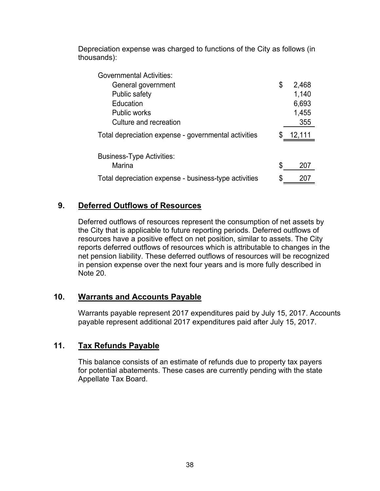Depreciation expense was charged to functions of the City as follows (in thousands):

| <b>Governmental Activities:</b>                       |             |
|-------------------------------------------------------|-------------|
| General government                                    | \$<br>2,468 |
| Public safety                                         | 1,140       |
| Education                                             | 6,693       |
| <b>Public works</b>                                   | 1,455       |
| Culture and recreation                                | 355         |
| Total depreciation expense - governmental activities  | 12,111      |
|                                                       |             |
| <b>Business-Type Activities:</b>                      |             |
| Marina                                                | \$<br>207   |
| Total depreciation expense - business-type activities | \$          |

# **9. Deferred Outflows of Resources**

Deferred outflows of resources represent the consumption of net assets by the City that is applicable to future reporting periods. Deferred outflows of resources have a positive effect on net position, similar to assets. The City reports deferred outflows of resources which is attributable to changes in the net pension liability. These deferred outflows of resources will be recognized in pension expense over the next four years and is more fully described in Note 20.

# **10. Warrants and Accounts Payable**

Warrants payable represent 2017 expenditures paid by July 15, 2017. Accounts payable represent additional 2017 expenditures paid after July 15, 2017.

# **11. Tax Refunds Payable**

This balance consists of an estimate of refunds due to property tax payers for potential abatements. These cases are currently pending with the state Appellate Tax Board.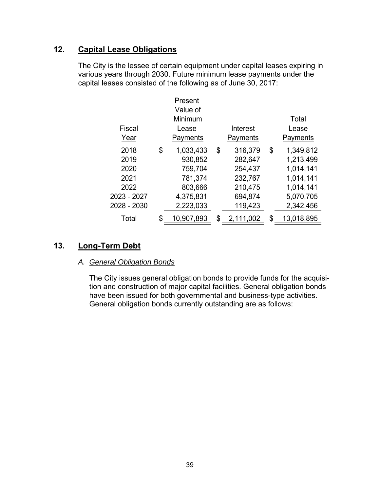# **12. Capital Lease Obligations**

The City is the lessee of certain equipment under capital leases expiring in various years through 2030. Future minimum lease payments under the capital leases consisted of the following as of June 30, 2017:

|             | Present          |                 |                  |
|-------------|------------------|-----------------|------------------|
|             | Value of         |                 |                  |
|             | Minimum          |                 | Total            |
| Fiscal      | Lease            | Interest        | Lease            |
| Year        | Payments         | Payments        | Payments         |
| 2018        | \$<br>1,033,433  | \$<br>316,379   | \$<br>1,349,812  |
| 2019        | 930,852          | 282,647         | 1,213,499        |
| 2020        | 759,704          | 254,437         | 1,014,141        |
| 2021        | 781,374          | 232,767         | 1,014,141        |
| 2022        | 803,666          | 210,475         | 1,014,141        |
| 2023 - 2027 | 4,375,831        | 694,874         | 5,070,705        |
| 2028 - 2030 | 2,223,033        | 119,423         | 2,342,456        |
| Total       | \$<br>10,907,893 | \$<br>2,111,002 | \$<br>13,018,895 |

# **13. Long-Term Debt**

#### *A. General Obligation Bonds*

The City issues general obligation bonds to provide funds for the acquisition and construction of major capital facilities. General obligation bonds have been issued for both governmental and business-type activities. General obligation bonds currently outstanding are as follows: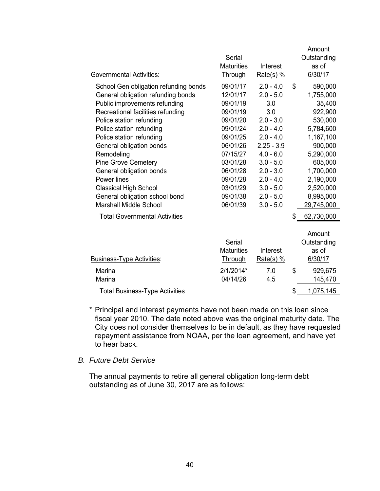|                                       | Serial<br><b>Maturities</b> | Interest     | Amount<br>Outstanding<br>as of |
|---------------------------------------|-----------------------------|--------------|--------------------------------|
| <b>Governmental Activities:</b>       | Through                     | $Rate(s)$ %  | 6/30/17                        |
| School Gen obligation refunding bonds | 09/01/17                    | $2.0 - 4.0$  | \$<br>590,000                  |
| General obligation refunding bonds    | 12/01/17                    | $2.0 - 5.0$  | 1,755,000                      |
| Public improvements refunding         | 09/01/19                    | 3.0          | 35,400                         |
| Recreational facilities refunding     | 09/01/19                    | 3.0          | 922,900                        |
| Police station refunding              | 09/01/20                    | $2.0 - 3.0$  | 530,000                        |
| Police station refunding              | 09/01/24                    | $2.0 - 4.0$  | 5,784,600                      |
| Police station refunding              | 09/01/25                    | $2.0 - 4.0$  | 1,167,100                      |
| General obligation bonds              | 06/01/26                    | $2.25 - 3.9$ | 900,000                        |
| Remodeling                            | 07/15/27                    | $4.0 - 6.0$  | 5,290,000                      |
| <b>Pine Grove Cemetery</b>            | 03/01/28                    | $3.0 - 5.0$  | 605,000                        |
| General obligation bonds              | 06/01/28                    | $2.0 - 3.0$  | 1,700,000                      |
| Power lines                           | 09/01/28                    | $2.0 - 4.0$  | 2,190,000                      |
| <b>Classical High School</b>          | 03/01/29                    | $3.0 - 5.0$  | 2,520,000                      |
| General obligation school bond        | 09/01/38                    | $2.0 - 5.0$  | 8,995,000                      |
| <b>Marshall Middle School</b>         | 06/01/39                    | $3.0 - 5.0$  | 29,745,000                     |
| <b>Total Governmental Activities</b>  |                             |              | \$<br>62,730,000               |
|                                       |                             |              | Amount                         |
|                                       | <b>Serial</b>               |              | Outstanding                    |
|                                       | <b>Maturities</b>           | Interest     | as of                          |
| Business-Type Activities:             | <b>Through</b>              | Rate(s) $%$  | 6/30/17                        |
| Marina                                | $2/1/2014*$                 | 7.0          | \$<br>929,675                  |
| <b>Marina</b>                         | 04/14/26                    | 4.5          | 145,470                        |
| <b>Total Business-Type Activities</b> |                             |              | \$<br>1,075,145                |
|                                       |                             |              |                                |

\* Principal and interest payments have not been made on this loan since fiscal year 2010. The date noted above was the original maturity date. The City does not consider themselves to be in default, as they have requested repayment assistance from NOAA, per the loan agreement, and have yet to hear back.

#### *B. Future Debt Service*

The annual payments to retire all general obligation long-term debt outstanding as of June 30, 2017 are as follows: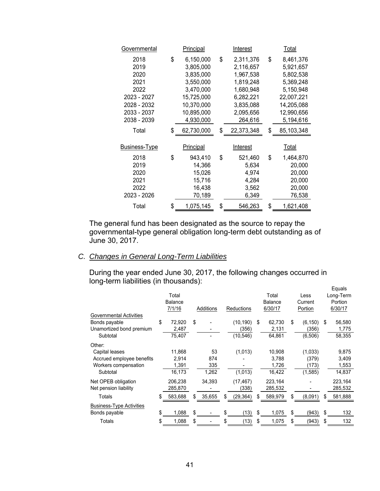| Governmental                                                                                     | Principal                                                                                                                  | Interest                                                                                                              | Total                                                                                                                      |
|--------------------------------------------------------------------------------------------------|----------------------------------------------------------------------------------------------------------------------------|-----------------------------------------------------------------------------------------------------------------------|----------------------------------------------------------------------------------------------------------------------------|
| 2018<br>2019<br>2020<br>2021<br>2022<br>2023 - 2027<br>2028 - 2032<br>2033 - 2037<br>2038 - 2039 | \$<br>6,150,000<br>3,805,000<br>3,835,000<br>3,550,000<br>3,470,000<br>15,725,000<br>10,370,000<br>10,895,000<br>4,930,000 | \$<br>2,311,376<br>2,116,657<br>1,967,538<br>1,819,248<br>1,680,948<br>6,282,221<br>3,835,088<br>2,095,656<br>264,616 | \$<br>8,461,376<br>5,921,657<br>5,802,538<br>5,369,248<br>5,150,948<br>22,007,221<br>14,205,088<br>12,990,656<br>5,194,616 |
| Total                                                                                            | \$<br>62,730,000                                                                                                           | \$<br>22,373,348                                                                                                      | \$<br>85,103,348                                                                                                           |
| <b>Business-Type</b>                                                                             | <b>Principal</b>                                                                                                           | Interest                                                                                                              | Total                                                                                                                      |
| 2018<br>2019<br>2020<br>2021<br>2022<br>2023 - 2026                                              | \$<br>943,410<br>14,366<br>15,026<br>15,716<br>16,438<br>70,189                                                            | \$<br>521,460<br>5,634<br>4,974<br>4,284<br>3,562<br>6,349                                                            | \$<br>1,464,870<br>20,000<br>20,000<br>20,000<br>20,000<br>76,538                                                          |
| Total                                                                                            | \$<br>1,075,145                                                                                                            | \$<br>546,263                                                                                                         | \$<br>1,621,408                                                                                                            |

The general fund has been designated as the source to repay the governmental-type general obligation long-term debt outstanding as of June 30, 2017.

# *C. Changes in General Long-Term Liabilities*

During the year ended June 30, 2017, the following changes occurred in long-term liabilities (in thousands):

|                                                                                           |     | Total<br><b>Balance</b><br>7/1/16  |          | <b>Additions</b>          |          | <b>Reductions</b>              |         | Total<br><b>Balance</b><br>6/30/17 |           | Less<br>Current<br>Portion           |         | Equals<br>Long-Term<br>Portion<br>6/30/17 |
|-------------------------------------------------------------------------------------------|-----|------------------------------------|----------|---------------------------|----------|--------------------------------|---------|------------------------------------|-----------|--------------------------------------|---------|-------------------------------------------|
| <b>Governmental Activities</b><br>Bonds payable<br>Unamortized bond premium<br>Subtotal   | \$  | 72.920<br>2,487<br>75,407          | \$       |                           |          | (10, 190)<br>(356)<br>(10,546) | \$      | 62,730<br>2,131<br>64,861          | \$        | (6, 150)<br>(356)<br>(6,506)         | \$      | 56,580<br>1,775<br>58,355                 |
| Other:<br>Capital leases<br>Accrued employee benefits<br>Workers compensation<br>Subtotal |     | 11,868<br>2.914<br>1,391<br>16,173 |          | 53<br>874<br>335<br>1,262 |          | (1,013)<br>(1,013)             |         | 10,908<br>3,788<br>1,726<br>16,422 |           | (1,033)<br>(379)<br>(173)<br>(1,585) |         | 9,875<br>3,409<br>1,553<br>14,837         |
| Net OPEB obligation<br>Net pension liability                                              |     | 206,238<br>285,870                 |          | 34,393                    |          | (17, 467)<br>(338)             |         | 223,164<br>285,532                 |           |                                      |         | 223,164<br>285,532                        |
| Totals                                                                                    |     | 583,688                            |          | 35,655                    | \$       | (29,364)                       |         | 589,979                            |           | (8,091)                              | \$      | 581,888                                   |
| <b>Business-Type Activities</b><br>Bonds payable<br>Totals                                | \$. | 1,088                              | \$<br>\$ |                           | \$<br>\$ | (13)                           | \$<br>S | 1,075                              | \$.<br>\$ | (943)                                | \$<br>S | 132<br>132                                |
|                                                                                           |     | 1,088                              |          |                           |          | (13)                           |         | 1,075                              |           | (943)                                |         |                                           |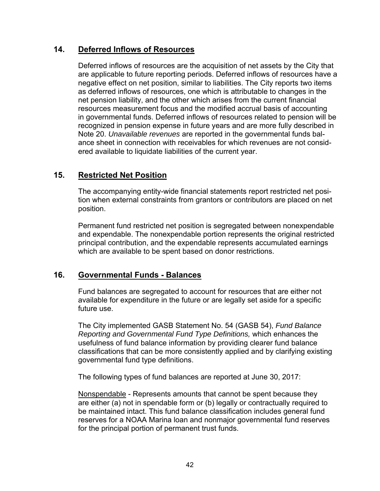# **14. Deferred Inflows of Resources**

Deferred inflows of resources are the acquisition of net assets by the City that are applicable to future reporting periods. Deferred inflows of resources have a negative effect on net position, similar to liabilities. The City reports two items as deferred inflows of resources, one which is attributable to changes in the net pension liability, and the other which arises from the current financial resources measurement focus and the modified accrual basis of accounting in governmental funds. Deferred inflows of resources related to pension will be recognized in pension expense in future years and are more fully described in Note 20. *Unavailable revenues* are reported in the governmental funds balance sheet in connection with receivables for which revenues are not considered available to liquidate liabilities of the current year.

# **15. Restricted Net Position**

The accompanying entity-wide financial statements report restricted net position when external constraints from grantors or contributors are placed on net position.

Permanent fund restricted net position is segregated between nonexpendable and expendable. The nonexpendable portion represents the original restricted principal contribution, and the expendable represents accumulated earnings which are available to be spent based on donor restrictions.

# **16. Governmental Funds - Balances**

Fund balances are segregated to account for resources that are either not available for expenditure in the future or are legally set aside for a specific future use.

The City implemented GASB Statement No. 54 (GASB 54), *Fund Balance Reporting and Governmental Fund Type Definitions,* which enhances the usefulness of fund balance information by providing clearer fund balance classifications that can be more consistently applied and by clarifying existing governmental fund type definitions.

The following types of fund balances are reported at June 30, 2017:

Nonspendable - Represents amounts that cannot be spent because they are either (a) not in spendable form or (b) legally or contractually required to be maintained intact. This fund balance classification includes general fund reserves for a NOAA Marina loan and nonmajor governmental fund reserves for the principal portion of permanent trust funds.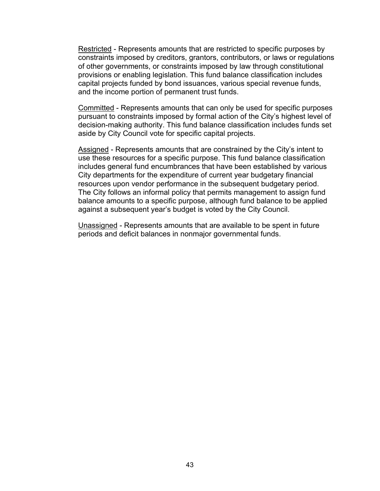Restricted - Represents amounts that are restricted to specific purposes by constraints imposed by creditors, grantors, contributors, or laws or regulations of other governments, or constraints imposed by law through constitutional provisions or enabling legislation. This fund balance classification includes capital projects funded by bond issuances, various special revenue funds, and the income portion of permanent trust funds.

Committed - Represents amounts that can only be used for specific purposes pursuant to constraints imposed by formal action of the City's highest level of decision-making authority. This fund balance classification includes funds set aside by City Council vote for specific capital projects.

Assigned - Represents amounts that are constrained by the City's intent to use these resources for a specific purpose. This fund balance classification includes general fund encumbrances that have been established by various City departments for the expenditure of current year budgetary financial resources upon vendor performance in the subsequent budgetary period. The City follows an informal policy that permits management to assign fund balance amounts to a specific purpose, although fund balance to be applied against a subsequent year's budget is voted by the City Council.

Unassigned - Represents amounts that are available to be spent in future periods and deficit balances in nonmajor governmental funds.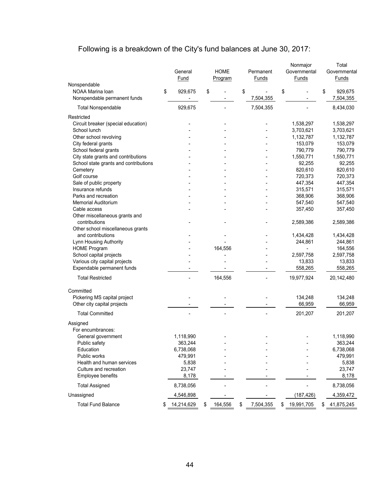# Following is a breakdown of the City's fund balances at June 30, 2017:

|                                       | General<br>Fund  | <b>HOME</b><br>Program | Permanent<br>Funds | Nonmajor<br>Governmental<br>Funds | Total<br>Governmental<br>Funds |
|---------------------------------------|------------------|------------------------|--------------------|-----------------------------------|--------------------------------|
| Nonspendable                          |                  |                        |                    |                                   |                                |
| NOAA Marina loan                      | \$<br>929,675    | \$                     | \$                 | \$                                | \$<br>929,675                  |
| Nonspendable permanent funds          |                  |                        | 7,504,355          |                                   | 7,504,355                      |
| <b>Total Nonspendable</b>             | 929,675          |                        | 7,504,355          |                                   | 8,434,030                      |
| Restricted                            |                  |                        |                    |                                   |                                |
| Circuit breaker (special education)   |                  |                        |                    | 1,538,297                         | 1,538,297                      |
| School lunch                          |                  |                        |                    | 3,703,621                         | 3,703,621                      |
| Other school revolving                |                  |                        |                    | 1,132,787                         | 1,132,787                      |
| City federal grants                   |                  |                        |                    | 153,079                           | 153,079                        |
| School federal grants                 |                  |                        |                    | 790,779                           | 790,779                        |
| City state grants and contributions   |                  |                        |                    | 1,550,771                         | 1,550,771                      |
| School state grants and contributions |                  |                        |                    | 92,255                            | 92,255                         |
| Cemetery                              |                  |                        |                    | 820,610                           | 820,610                        |
| Golf course                           |                  |                        |                    | 720,373                           | 720,373                        |
| Sale of public property               |                  |                        |                    | 447,354                           | 447,354                        |
| Insurance refunds                     |                  |                        |                    | 315,571                           | 315,571                        |
| Parks and recreation                  |                  |                        |                    | 368,906                           | 368,906                        |
| <b>Memorial Auditorium</b>            |                  |                        |                    | 547,540                           | 547,540                        |
| Cable access                          |                  |                        |                    | 357,450                           | 357,450                        |
| Other miscellaneous grants and        |                  |                        |                    |                                   |                                |
| contributions                         |                  |                        |                    | 2,589,386                         | 2,589,386                      |
| Other school miscellaneous grants     |                  |                        |                    |                                   |                                |
| and contributions                     |                  |                        |                    | 1,434,428                         | 1,434,428                      |
| Lynn Housing Authority                |                  |                        |                    | 244,861                           | 244,861                        |
| <b>HOME Program</b>                   |                  | 164,556                |                    |                                   | 164,556                        |
| School capital projects               |                  |                        |                    | 2,597,758                         | 2,597,758                      |
| Various city capital projects         |                  |                        |                    | 13,833                            | 13,833                         |
| Expendable permanent funds            |                  |                        |                    | 558,265                           | 558,265                        |
| <b>Total Restricted</b>               |                  | 164,556                |                    | 19,977,924                        | 20,142,480                     |
| Committed                             |                  |                        |                    |                                   |                                |
| Pickering MS capital project          |                  |                        |                    | 134,248                           | 134,248                        |
| Other city capital projects           |                  |                        |                    | 66,959                            | 66,959                         |
|                                       |                  |                        |                    |                                   |                                |
| <b>Total Committed</b>                |                  |                        |                    | 201,207                           | 201,207                        |
| Assigned                              |                  |                        |                    |                                   |                                |
| For encumbrances:                     |                  |                        |                    |                                   |                                |
| General government                    | 1,118,990        |                        |                    |                                   | 1,118,990                      |
| Public safety                         | 363,244          |                        |                    |                                   | 363,244                        |
| Education                             | 6,738,068        |                        |                    |                                   | 6,738,068                      |
| Public works                          | 479,991          |                        |                    |                                   | 479,991                        |
| Health and human services             | 5,838            |                        |                    |                                   | 5,838                          |
| Culture and recreation                | 23,747           |                        |                    |                                   | 23,747                         |
| Employee benefits                     | 8,178            |                        |                    |                                   | 8,178                          |
| <b>Total Assigned</b>                 | 8,738,056        |                        |                    |                                   | 8,738,056                      |
| Unassigned                            | 4,546,898        |                        |                    | (187, 426)                        | 4,359,472                      |
| <b>Total Fund Balance</b>             | \$<br>14,214,629 | \$<br>164,556          | \$<br>7,504,355    | \$<br>19,991,705                  | \$<br>41,875,245               |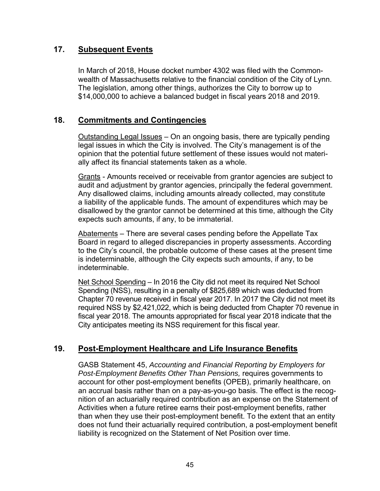# **17. Subsequent Events**

In March of 2018, House docket number 4302 was filed with the Commonwealth of Massachusetts relative to the financial condition of the City of Lynn. The legislation, among other things, authorizes the City to borrow up to \$14,000,000 to achieve a balanced budget in fiscal years 2018 and 2019.

# **18. Commitments and Contingencies**

Outstanding Legal Issues – On an ongoing basis, there are typically pending legal issues in which the City is involved. The City's management is of the opinion that the potential future settlement of these issues would not materially affect its financial statements taken as a whole.

Grants - Amounts received or receivable from grantor agencies are subject to audit and adjustment by grantor agencies, principally the federal government. Any disallowed claims, including amounts already collected, may constitute a liability of the applicable funds. The amount of expenditures which may be disallowed by the grantor cannot be determined at this time, although the City expects such amounts, if any, to be immaterial.

Abatements – There are several cases pending before the Appellate Tax Board in regard to alleged discrepancies in property assessments. According to the City's council, the probable outcome of these cases at the present time is indeterminable, although the City expects such amounts, if any, to be indeterminable.

Net School Spending – In 2016 the City did not meet its required Net School Spending (NSS), resulting in a penalty of \$825,689 which was deducted from Chapter 70 revenue received in fiscal year 2017. In 2017 the City did not meet its required NSS by \$2,421,022, which is being deducted from Chapter 70 revenue in fiscal year 2018. The amounts appropriated for fiscal year 2018 indicate that the City anticipates meeting its NSS requirement for this fiscal year.

# **19. Post-Employment Healthcare and Life Insurance Benefits**

GASB Statement 45, *Accounting and Financial Reporting by Employers for Post-Employment Benefits Other Than Pensions,* requires governments to account for other post-employment benefits (OPEB), primarily healthcare, on an accrual basis rather than on a pay-as-you-go basis. The effect is the recognition of an actuarially required contribution as an expense on the Statement of Activities when a future retiree earns their post-employment benefits, rather than when they use their post-employment benefit. To the extent that an entity does not fund their actuarially required contribution, a post-employment benefit liability is recognized on the Statement of Net Position over time.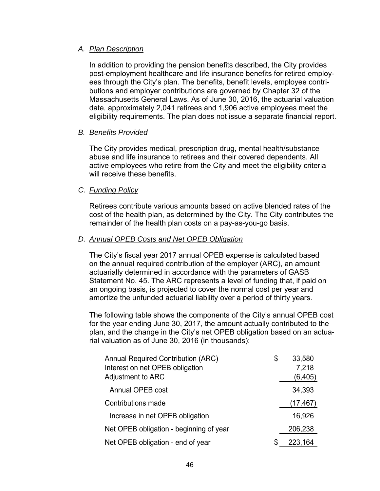#### *A. Plan Description*

In addition to providing the pension benefits described, the City provides post-employment healthcare and life insurance benefits for retired employees through the City's plan. The benefits, benefit levels, employee contributions and employer contributions are governed by Chapter 32 of the Massachusetts General Laws. As of June 30, 2016, the actuarial valuation date, approximately 2,041 retirees and 1,906 active employees meet the eligibility requirements. The plan does not issue a separate financial report.

#### *B. Benefits Provided*

The City provides medical, prescription drug, mental health/substance abuse and life insurance to retirees and their covered dependents. All active employees who retire from the City and meet the eligibility criteria will receive these benefits.

#### *C. Funding Policy*

Retirees contribute various amounts based on active blended rates of the cost of the health plan, as determined by the City. The City contributes the remainder of the health plan costs on a pay-as-you-go basis.

#### *D. Annual OPEB Costs and Net OPEB Obligation*

The City's fiscal year 2017 annual OPEB expense is calculated based on the annual required contribution of the employer (ARC), an amount actuarially determined in accordance with the parameters of GASB Statement No. 45. The ARC represents a level of funding that, if paid on an ongoing basis, is projected to cover the normal cost per year and amortize the unfunded actuarial liability over a period of thirty years.

The following table shows the components of the City's annual OPEB cost for the year ending June 30, 2017, the amount actually contributed to the plan, and the change in the City's net OPEB obligation based on an actuarial valuation as of June 30, 2016 (in thousands):

| <b>Annual Required Contribution (ARC)</b> | \$<br>33,580  |
|-------------------------------------------|---------------|
| Interest on net OPEB obligation           | 7,218         |
| Adjustment to ARC                         | (6, 405)      |
| Annual OPEB cost                          | 34,393        |
| Contributions made                        | (17, 467)     |
| Increase in net OPEB obligation           | 16,926        |
| Net OPEB obligation - beginning of year   | 206,238       |
| Net OPEB obligation - end of year         | \$<br>223,164 |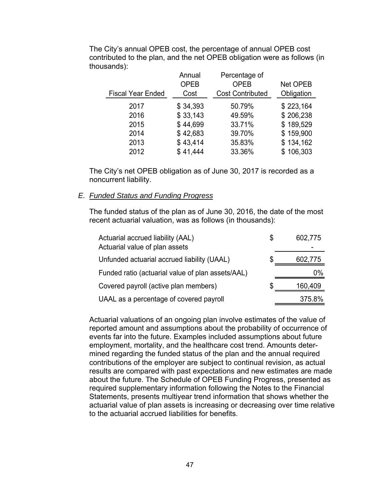|                          | Annual      | Percentage of           |                 |
|--------------------------|-------------|-------------------------|-----------------|
|                          | <b>OPEB</b> | <b>OPEB</b>             | <b>Net OPEB</b> |
| <b>Fiscal Year Ended</b> | Cost        | <b>Cost Contributed</b> | Obligation      |
| 2017                     | \$34,393    | 50.79%                  | \$223,164       |
| 2016                     | \$33,143    | 49.59%                  | \$206,238       |
| 2015                     | \$44,699    | 33.71%                  | \$189,529       |
| 2014                     | \$42,683    | 39.70%                  | \$159,900       |
| 2013                     | \$43,414    | 35.83%                  | \$134,162       |
| 2012                     | \$41,444    | 33.36%                  | \$106,303       |

The City's annual OPEB cost, the percentage of annual OPEB cost contributed to the plan, and the net OPEB obligation were as follows (in thousands):

The City's net OPEB obligation as of June 30, 2017 is recorded as a noncurrent liability.

# *E. Funded Status and Funding Progress*

The funded status of the plan as of June 30, 2016, the date of the most recent actuarial valuation, was as follows (in thousands):

| Actuarial accrued liability (AAL)<br>Actuarial value of plan assets | S | 602,775 |
|---------------------------------------------------------------------|---|---------|
| Unfunded actuarial accrued liability (UAAL)                         |   | 602,775 |
| Funded ratio (actuarial value of plan assets/AAL)                   |   | 0%      |
| Covered payroll (active plan members)                               |   | 160,409 |
| UAAL as a percentage of covered payroll                             |   | 375.8%  |

Actuarial valuations of an ongoing plan involve estimates of the value of reported amount and assumptions about the probability of occurrence of events far into the future. Examples included assumptions about future employment, mortality, and the healthcare cost trend. Amounts determined regarding the funded status of the plan and the annual required contributions of the employer are subject to continual revision, as actual results are compared with past expectations and new estimates are made about the future. The Schedule of OPEB Funding Progress, presented as required supplementary information following the Notes to the Financial Statements, presents multiyear trend information that shows whether the actuarial value of plan assets is increasing or decreasing over time relative to the actuarial accrued liabilities for benefits.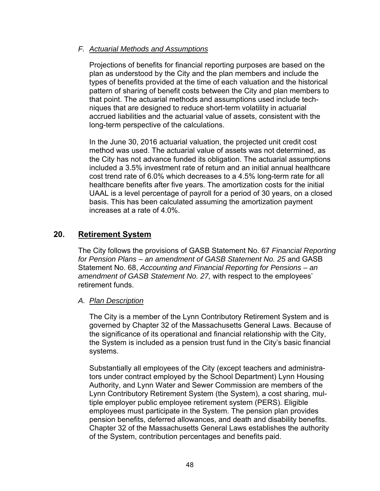#### *F. Actuarial Methods and Assumptions*

Projections of benefits for financial reporting purposes are based on the plan as understood by the City and the plan members and include the types of benefits provided at the time of each valuation and the historical pattern of sharing of benefit costs between the City and plan members to that point. The actuarial methods and assumptions used include techniques that are designed to reduce short-term volatility in actuarial accrued liabilities and the actuarial value of assets, consistent with the long-term perspective of the calculations.

In the June 30, 2016 actuarial valuation, the projected unit credit cost method was used. The actuarial value of assets was not determined, as the City has not advance funded its obligation. The actuarial assumptions included a 3.5% investment rate of return and an initial annual healthcare cost trend rate of 6.0% which decreases to a 4.5% long-term rate for all healthcare benefits after five years. The amortization costs for the initial UAAL is a level percentage of payroll for a period of 30 years, on a closed basis. This has been calculated assuming the amortization payment increases at a rate of 4.0%.

# **20. Retirement System**

The City follows the provisions of GASB Statement No. 67 *Financial Reporting*  for Pension Plans – an amendment of GASB Statement No. 25 and GASB Statement No. 68, *Accounting and Financial Reporting for Pensions – an amendment of GASB Statement No. 27,* with respect to the employees' retirement funds.

#### *A. Plan Description*

The City is a member of the Lynn Contributory Retirement System and is governed by Chapter 32 of the Massachusetts General Laws. Because of the significance of its operational and financial relationship with the City, the System is included as a pension trust fund in the City's basic financial systems.

Substantially all employees of the City (except teachers and administrators under contract employed by the School Department) Lynn Housing Authority, and Lynn Water and Sewer Commission are members of the Lynn Contributory Retirement System (the System), a cost sharing, multiple employer public employee retirement system (PERS). Eligible employees must participate in the System. The pension plan provides pension benefits, deferred allowances, and death and disability benefits. Chapter 32 of the Massachusetts General Laws establishes the authority of the System, contribution percentages and benefits paid.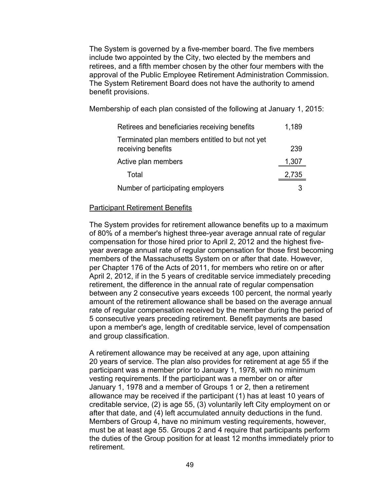The System is governed by a five-member board. The five members include two appointed by the City, two elected by the members and retirees, and a fifth member chosen by the other four members with the approval of the Public Employee Retirement Administration Commission. The System Retirement Board does not have the authority to amend benefit provisions.

Membership of each plan consisted of the following at January 1, 2015:

| Retirees and beneficiaries receiving benefits                         | 1,189 |
|-----------------------------------------------------------------------|-------|
| Terminated plan members entitled to but not yet<br>receiving benefits | 239   |
| Active plan members                                                   | 1,307 |
| Total                                                                 | 2,735 |
| Number of participating employers                                     |       |

#### **Participant Retirement Benefits**

The System provides for retirement allowance benefits up to a maximum of 80% of a member's highest three-year average annual rate of regular compensation for those hired prior to April 2, 2012 and the highest fiveyear average annual rate of regular compensation for those first becoming members of the Massachusetts System on or after that date. However, per Chapter 176 of the Acts of 2011, for members who retire on or after April 2, 2012, if in the 5 years of creditable service immediately preceding retirement, the difference in the annual rate of regular compensation between any 2 consecutive years exceeds 100 percent, the normal yearly amount of the retirement allowance shall be based on the average annual rate of regular compensation received by the member during the period of 5 consecutive years preceding retirement. Benefit payments are based upon a member's age, length of creditable service, level of compensation and group classification.

A retirement allowance may be received at any age, upon attaining 20 years of service. The plan also provides for retirement at age 55 if the participant was a member prior to January 1, 1978, with no minimum vesting requirements. If the participant was a member on or after January 1, 1978 and a member of Groups 1 or 2, then a retirement allowance may be received if the participant (1) has at least 10 years of creditable service, (2) is age 55, (3) voluntarily left City employment on or after that date, and (4) left accumulated annuity deductions in the fund. Members of Group 4, have no minimum vesting requirements, however, must be at least age 55. Groups 2 and 4 require that participants perform the duties of the Group position for at least 12 months immediately prior to retirement.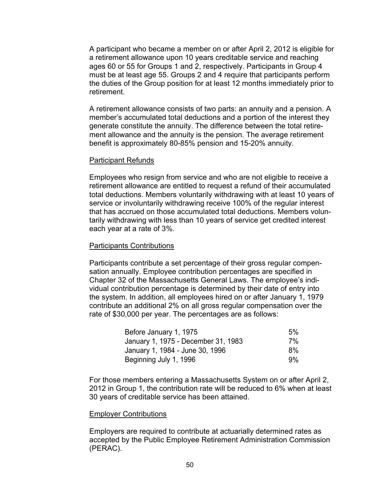A participant who became a member on or after April 2, 2012 is eligible for a retirement allowance upon 10 years creditable service and reaching ages 60 or 55 for Groups 1 and 2, respectively. Participants in Group 4 must be at least age 55. Groups 2 and 4 require that participants perform the duties of the Group position for at least 12 months immediately prior to retirement.

A retirement allowance consists of two parts: an annuity and a pension. A member's accumulated total deductions and a portion of the interest they generate constitute the annuity. The difference between the total retirement allowance and the annuity is the pension. The average retirement benefit is approximately 80-85% pension and 15-20% annuity.

#### Participant Refunds

Employees who resign from service and who are not eligible to receive a retirement allowance are entitled to request a refund of their accumulated total deductions. Members voluntarily withdrawing with at least 10 years of service or involuntarily withdrawing receive 100% of the regular interest that has accrued on those accumulated total deductions. Members voluntarily withdrawing with less than 10 years of service get credited interest each year at a rate of 3%.

#### Participants Contributions

Participants contribute a set percentage of their gross regular compensation annually. Employee contribution percentages are specified in Chapter 32 of the Massachusetts General Laws. The employee's individual contribution percentage is determined by their date of entry into the system. In addition, all employees hired on or after January 1, 1979 contribute an additional 2% on all gross regular compensation over the rate of \$30,000 per year. The percentages are as follows:

| Before January 1, 1975              | $5\%$ |
|-------------------------------------|-------|
| January 1, 1975 - December 31, 1983 | 7%    |
| January 1, 1984 - June 30, 1996     | 8%    |
| Beginning July 1, 1996              | $9\%$ |

For those members entering a Massachusetts System on or after April 2, 2012 in Group 1, the contribution rate will be reduced to 6% when at least 30 years of creditable service has been attained.

#### Employer Contributions

Employers are required to contribute at actuarially determined rates as accepted by the Public Employee Retirement Administration Commission (PERAC).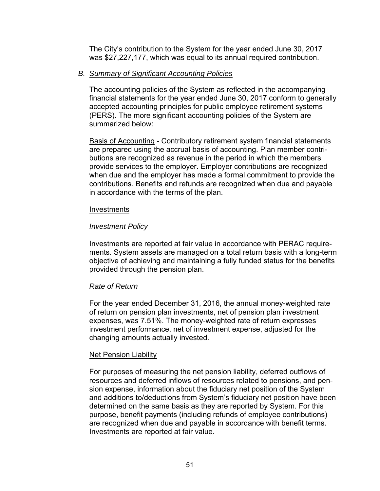The City's contribution to the System for the year ended June 30, 2017 was \$27,227,177, which was equal to its annual required contribution.

#### *B. Summary of Significant Accounting Policies*

The accounting policies of the System as reflected in the accompanying financial statements for the year ended June 30, 2017 conform to generally accepted accounting principles for public employee retirement systems (PERS). The more significant accounting policies of the System are summarized below:

Basis of Accounting - Contributory retirement system financial statements are prepared using the accrual basis of accounting. Plan member contributions are recognized as revenue in the period in which the members provide services to the employer. Employer contributions are recognized when due and the employer has made a formal commitment to provide the contributions. Benefits and refunds are recognized when due and payable in accordance with the terms of the plan.

#### Investments

### *Investment Policy*

Investments are reported at fair value in accordance with PERAC requirements. System assets are managed on a total return basis with a long-term objective of achieving and maintaining a fully funded status for the benefits provided through the pension plan.

#### *Rate of Return*

For the year ended December 31, 2016, the annual money-weighted rate of return on pension plan investments, net of pension plan investment expenses, was 7.51%. The money-weighted rate of return expresses investment performance, net of investment expense, adjusted for the changing amounts actually invested.

#### Net Pension Liability

For purposes of measuring the net pension liability, deferred outflows of resources and deferred inflows of resources related to pensions, and pension expense, information about the fiduciary net position of the System and additions to/deductions from System's fiduciary net position have been determined on the same basis as they are reported by System. For this purpose, benefit payments (including refunds of employee contributions) are recognized when due and payable in accordance with benefit terms. Investments are reported at fair value.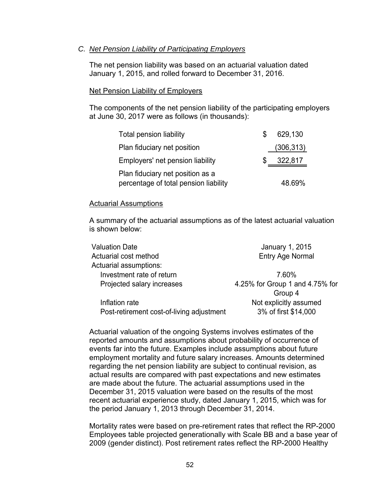#### *C. Net Pension Liability of Participating Employers*

The net pension liability was based on an actuarial valuation dated January 1, 2015, and rolled forward to December 31, 2016.

#### Net Pension Liability of Employers

The components of the net pension liability of the participating employers at June 30, 2017 were as follows (in thousands):

| <b>Total pension liability</b>        | 629,130    |
|---------------------------------------|------------|
| Plan fiduciary net position           | (306, 313) |
| Employers' net pension liability      | 322,817    |
| Plan fiduciary net position as a      |            |
| percentage of total pension liability | 48.69%     |

#### Actuarial Assumptions

A summary of the actuarial assumptions as of the latest actuarial valuation is shown below:

| <b>Valuation Date</b>                     | January 1, 2015                 |
|-------------------------------------------|---------------------------------|
| Actuarial cost method                     | <b>Entry Age Normal</b>         |
| Actuarial assumptions:                    |                                 |
| Investment rate of return                 | 7.60%                           |
| Projected salary increases                | 4.25% for Group 1 and 4.75% for |
|                                           | Group 4                         |
| Inflation rate                            | Not explicitly assumed          |
| Post-retirement cost-of-living adjustment | 3% of first \$14,000            |
|                                           |                                 |

Actuarial valuation of the ongoing Systems involves estimates of the reported amounts and assumptions about probability of occurrence of events far into the future. Examples include assumptions about future employment mortality and future salary increases. Amounts determined regarding the net pension liability are subject to continual revision, as actual results are compared with past expectations and new estimates are made about the future. The actuarial assumptions used in the December 31, 2015 valuation were based on the results of the most recent actuarial experience study, dated January 1, 2015, which was for the period January 1, 2013 through December 31, 2014.

Mortality rates were based on pre-retirement rates that reflect the RP-2000 Employees table projected generationally with Scale BB and a base year of 2009 (gender distinct). Post retirement rates reflect the RP-2000 Healthy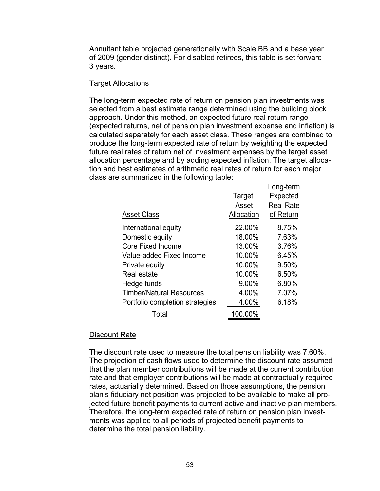Annuitant table projected generationally with Scale BB and a base year of 2009 (gender distinct). For disabled retirees, this table is set forward 3 years.

#### **Target Allocations**

The long-term expected rate of return on pension plan investments was selected from a best estimate range determined using the building block approach. Under this method, an expected future real return range (expected returns, net of pension plan investment expense and inflation) is calculated separately for each asset class. These ranges are combined to produce the long-term expected rate of return by weighting the expected future real rates of return net of investment expenses by the target asset allocation percentage and by adding expected inflation. The target allocation and best estimates of arithmetic real rates of return for each major class are summarized in the following table:

| <b>Asset Class</b>              | Target<br>Asset<br>Allocation | Long-term<br>Expected<br><b>Real Rate</b><br>of Return |
|---------------------------------|-------------------------------|--------------------------------------------------------|
| International equity            | 22.00%                        | 8.75%                                                  |
| Domestic equity                 | 18.00%                        | 7.63%                                                  |
| <b>Core Fixed Income</b>        | 13.00%                        | 3.76%                                                  |
| Value-added Fixed Income        | 10.00%                        | 6.45%                                                  |
| Private equity                  | 10.00%                        | 9.50%                                                  |
| Real estate                     | 10.00%                        | 6.50%                                                  |
| Hedge funds                     | 9.00%                         | 6.80%                                                  |
| <b>Timber/Natural Resources</b> | 4.00%                         | 7.07%                                                  |
| Portfolio completion strategies | 4.00%                         | 6.18%                                                  |
| Total                           | 100.00%                       |                                                        |

#### Discount Rate

The discount rate used to measure the total pension liability was 7.60%. The projection of cash flows used to determine the discount rate assumed that the plan member contributions will be made at the current contribution rate and that employer contributions will be made at contractually required rates, actuarially determined. Based on those assumptions, the pension plan's fiduciary net position was projected to be available to make all projected future benefit payments to current active and inactive plan members. Therefore, the long-term expected rate of return on pension plan investments was applied to all periods of projected benefit payments to determine the total pension liability.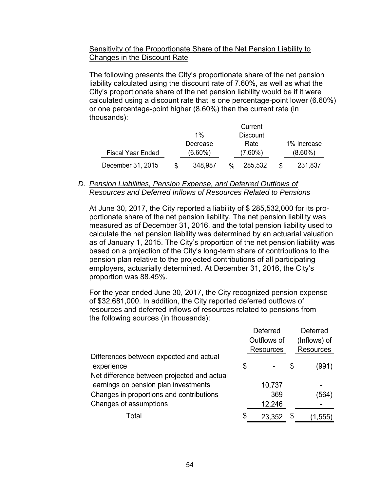#### Sensitivity of the Proportionate Share of the Net Pension Liability to Changes in the Discount Rate

The following presents the City's proportionate share of the net pension liability calculated using the discount rate of 7.60%, as well as what the City's proportionate share of the net pension liability would be if it were calculated using a discount rate that is one percentage-point lower (6.60%) or one percentage-point higher (8.60%) than the current rate (in thousands):

|                          |            |      | Current         |             |
|--------------------------|------------|------|-----------------|-------------|
|                          | $1\%$      |      | <b>Discount</b> |             |
|                          | Decrease   |      | Rate            | 1% Increase |
| <b>Fiscal Year Ended</b> | $(6.60\%)$ |      | $(7.60\%)$      | $(8.60\%)$  |
| December 31, 2015        | 348.987    | $\%$ | 285,532         | 231,837     |

#### *D. Pension Liabilities, Pension Expense, and Deferred Outflows of Resources and Deferred Inflows of Resources Related to Pensions*

At June 30, 2017, the City reported a liability of \$ 285,532,000 for its proportionate share of the net pension liability. The net pension liability was measured as of December 31, 2016, and the total pension liability used to calculate the net pension liability was determined by an actuarial valuation as of January 1, 2015. The City's proportion of the net pension liability was based on a projection of the City's long-term share of contributions to the pension plan relative to the projected contributions of all participating employers, actuarially determined. At December 31, 2016, the City's proportion was 88.45%.

For the year ended June 30, 2017, the City recognized pension expense of \$32,681,000. In addition, the City reported deferred outflows of resources and deferred inflows of resources related to pensions from the following sources (in thousands):

|                                             | Deferred         | <b>Deferred</b>  |
|---------------------------------------------|------------------|------------------|
|                                             | Outflows of      | (Inflows) of     |
|                                             | <b>Resources</b> | <b>Resources</b> |
| Differences between expected and actual     |                  |                  |
| experience                                  | \$               | \$<br>(991)      |
| Net difference between projected and actual |                  |                  |
| earnings on pension plan investments        | 10,737           |                  |
| Changes in proportions and contributions    | 369              | (564)            |
| Changes of assumptions                      | 12,246           |                  |
| Total                                       | 23,352           | 1,555)           |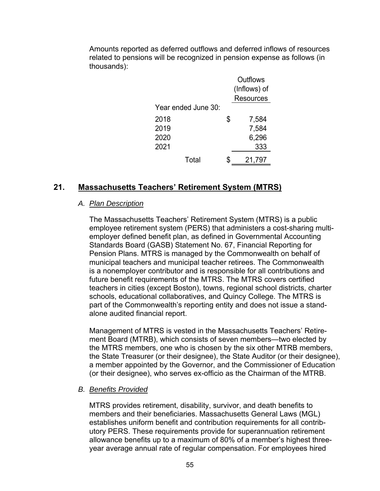Amounts reported as deferred outflows and deferred inflows of resources related to pensions will be recognized in pension expense as follows (in thousands):

|                     | Outflows         |
|---------------------|------------------|
|                     | (Inflows) of     |
|                     | <b>Resources</b> |
| Year ended June 30: |                  |
| 2018                | \$<br>7,584      |
| 2019                | 7,584            |
| 2020                | 6,296            |
| 2021                | 333              |
| Total               | 21,797           |

# **21. Massachusetts Teachers' Retirement System (MTRS)**

#### *A. Plan Description*

The Massachusetts Teachers' Retirement System (MTRS) is a public employee retirement system (PERS) that administers a cost-sharing multiemployer defined benefit plan, as defined in Governmental Accounting Standards Board (GASB) Statement No. 67, Financial Reporting for Pension Plans. MTRS is managed by the Commonwealth on behalf of municipal teachers and municipal teacher retirees. The Commonwealth is a nonemployer contributor and is responsible for all contributions and future benefit requirements of the MTRS. The MTRS covers certified teachers in cities (except Boston), towns, regional school districts, charter schools, educational collaboratives, and Quincy College. The MTRS is part of the Commonwealth's reporting entity and does not issue a standalone audited financial report.

Management of MTRS is vested in the Massachusetts Teachers' Retirement Board (MTRB), which consists of seven members—two elected by the MTRS members, one who is chosen by the six other MTRB members, the State Treasurer (or their designee), the State Auditor (or their designee), a member appointed by the Governor, and the Commissioner of Education (or their designee), who serves ex-officio as the Chairman of the MTRB.

#### *B. Benefits Provided*

MTRS provides retirement, disability, survivor, and death benefits to members and their beneficiaries. Massachusetts General Laws (MGL) establishes uniform benefit and contribution requirements for all contributory PERS. These requirements provide for superannuation retirement allowance benefits up to a maximum of 80% of a member's highest threeyear average annual rate of regular compensation. For employees hired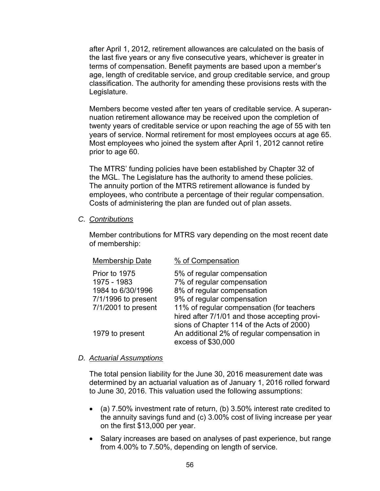after April 1, 2012, retirement allowances are calculated on the basis of the last five years or any five consecutive years, whichever is greater in terms of compensation. Benefit payments are based upon a member's age, length of creditable service, and group creditable service, and group classification. The authority for amending these provisions rests with the Legislature.

Members become vested after ten years of creditable service. A superannuation retirement allowance may be received upon the completion of twenty years of creditable service or upon reaching the age of 55 with ten years of service. Normal retirement for most employees occurs at age 65. Most employees who joined the system after April 1, 2012 cannot retire prior to age 60.

The MTRS' funding policies have been established by Chapter 32 of the MGL. The Legislature has the authority to amend these policies. The annuity portion of the MTRS retirement allowance is funded by employees, who contribute a percentage of their regular compensation. Costs of administering the plan are funded out of plan assets.

*C. Contributions* 

Member contributions for MTRS vary depending on the most recent date of membership:

| <b>Membership Date</b>                            | % of Compensation                                                                                                                       |
|---------------------------------------------------|-----------------------------------------------------------------------------------------------------------------------------------------|
| Prior to 1975<br>1975 - 1983<br>1984 to 6/30/1996 | 5% of regular compensation<br>7% of regular compensation<br>8% of regular compensation                                                  |
| 7/1/1996 to present                               | 9% of regular compensation                                                                                                              |
| 7/1/2001 to present                               | 11% of regular compensation (for teachers<br>hired after 7/1/01 and those accepting provi-<br>sions of Chapter 114 of the Acts of 2000) |
| 1979 to present                                   | An additional 2% of regular compensation in<br>excess of \$30,000                                                                       |

#### *D. Actuarial Assumptions*

The total pension liability for the June 30, 2016 measurement date was determined by an actuarial valuation as of January 1, 2016 rolled forward to June 30, 2016. This valuation used the following assumptions:

- (a) 7.50% investment rate of return, (b) 3.50% interest rate credited to the annuity savings fund and (c) 3.00% cost of living increase per year on the first \$13,000 per year.
- Salary increases are based on analyses of past experience, but range from 4.00% to 7.50%, depending on length of service.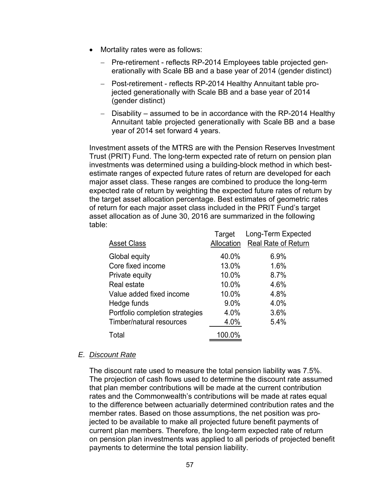- Mortality rates were as follows:
	- Pre-retirement reflects RP-2014 Employees table projected generationally with Scale BB and a base year of 2014 (gender distinct)
	- Post-retirement reflects RP-2014 Healthy Annuitant table projected generationally with Scale BB and a base year of 2014 (gender distinct)
	- $-$  Disability assumed to be in accordance with the RP-2014 Healthy Annuitant table projected generationally with Scale BB and a base year of 2014 set forward 4 years.

Investment assets of the MTRS are with the Pension Reserves Investment Trust (PRIT) Fund. The long-term expected rate of return on pension plan investments was determined using a building-block method in which bestestimate ranges of expected future rates of return are developed for each major asset class. These ranges are combined to produce the long-term expected rate of return by weighting the expected future rates of return by the target asset allocation percentage. Best estimates of geometric rates of return for each major asset class included in the PRIT Fund's target asset allocation as of June 30, 2016 are summarized in the following table:

| <b>Real Rate of Return</b><br>Allocation<br><b>Asset Class</b><br>40.0%<br>6.9%<br>Global equity |  |
|--------------------------------------------------------------------------------------------------|--|
|                                                                                                  |  |
|                                                                                                  |  |
| Core fixed income<br>13.0%<br>1.6%                                                               |  |
| 10.0%<br>8.7%<br>Private equity                                                                  |  |
| 10.0%<br>4.6%<br>Real estate                                                                     |  |
| 10.0%<br>4.8%<br>Value added fixed income                                                        |  |
| 9.0%<br>4.0%<br>Hedge funds                                                                      |  |
| Portfolio completion strategies<br>4.0%<br>3.6%                                                  |  |
| Timber/natural resources<br>4.0%<br>5.4%                                                         |  |
| 100.0%<br>Total                                                                                  |  |

#### *E. Discount Rate*

The discount rate used to measure the total pension liability was 7.5%. The projection of cash flows used to determine the discount rate assumed that plan member contributions will be made at the current contribution rates and the Commonwealth's contributions will be made at rates equal to the difference between actuarially determined contribution rates and the member rates. Based on those assumptions, the net position was projected to be available to make all projected future benefit payments of current plan members. Therefore, the long-term expected rate of return on pension plan investments was applied to all periods of projected benefit payments to determine the total pension liability.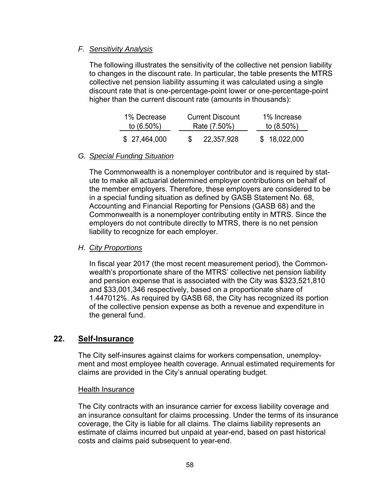## *F. Sensitivity Analysis*

The following illustrates the sensitivity of the collective net pension liability to changes in the discount rate. In particular, the table presents the MTRS collective net pension liability assuming it was calculated using a single discount rate that is one-percentage-point lower or one-percentage-point higher than the current discount rate (amounts in thousands):

| 1% Decrease   | <b>Current Discount</b> | 1% Increase   |
|---------------|-------------------------|---------------|
| to $(6.50\%)$ | Rate (7.50%)            | to $(8.50\%)$ |
| \$27,464,000  | 22,357,928              | \$18,022,000  |

### *G. Special Funding Situation*

The Commonwealth is a nonemployer contributor and is required by statute to make all actuarial determined employer contributions on behalf of the member employers. Therefore, these employers are considered to be in a special funding situation as defined by GASB Statement No. 68, Accounting and Financial Reporting for Pensions (GASB 68) and the Commonwealth is a nonemployer contributing entity in MTRS. Since the employers do not contribute directly to MTRS, there is no net pension liability to recognize for each employer.

#### *H. City Proportions*

In fiscal year 2017 (the most recent measurement period), the Commonwealth's proportionate share of the MTRS' collective net pension liability and pension expense that is associated with the City was \$323,521,810 and \$33,001,346 respectively, based on a proportionate share of 1.447012%. As required by GASB 68, the City has recognized its portion of the collective pension expense as both a revenue and expenditure in the general fund.

# **22. Self-Insurance**

The City self-insures against claims for workers compensation, unemployment and most employee health coverage. Annual estimated requirements for claims are provided in the City's annual operating budget.

#### Health Insurance

The City contracts with an insurance carrier for excess liability coverage and an insurance consultant for claims processing. Under the terms of its insurance coverage, the City is liable for all claims. The claims liability represents an estimate of claims incurred but unpaid at year-end, based on past historical costs and claims paid subsequent to year-end.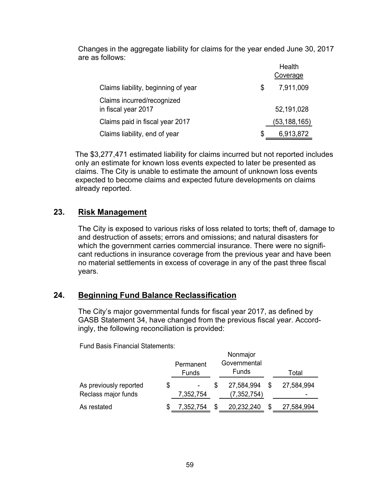Changes in the aggregate liability for claims for the year ended June 30, 2017 are as follows:

|                                                   | Health          |
|---------------------------------------------------|-----------------|
|                                                   | Coverage        |
| Claims liability, beginning of year               | \$<br>7,911,009 |
| Claims incurred/recognized<br>in fiscal year 2017 | 52,191,028      |
| Claims paid in fiscal year 2017                   | (53,188,165)    |
| Claims liability, end of year                     | \$<br>6,913,872 |

The \$3,277,471 estimated liability for claims incurred but not reported includes only an estimate for known loss events expected to later be presented as claims. The City is unable to estimate the amount of unknown loss events expected to become claims and expected future developments on claims already reported.

# **23. Risk Management**

The City is exposed to various risks of loss related to torts; theft of, damage to and destruction of assets; errors and omissions; and natural disasters for which the government carries commercial insurance. There were no significant reductions in insurance coverage from the previous year and have been no material settlements in excess of coverage in any of the past three fiscal years.

# **24. Beginning Fund Balance Reclassification**

The City's major governmental funds for fiscal year 2017, as defined by GASB Statement 34, have changed from the previous fiscal year. Accordingly, the following reconciliation is provided:

|                                               |    | Permanent<br><b>Funds</b> |  | Nonmajor<br>Governmental<br><b>Funds</b> |   | Total      |  |
|-----------------------------------------------|----|---------------------------|--|------------------------------------------|---|------------|--|
| As previously reported<br>Reclass major funds | S  | ۰<br>7,352,754            |  | 27,584,994<br>(7, 352, 754)              | S | 27,584,994 |  |
| As restated                                   | \$ | 7,352,754                 |  | 20,232,240                               | S | 27,584,994 |  |

Fund Basis Financial Statements: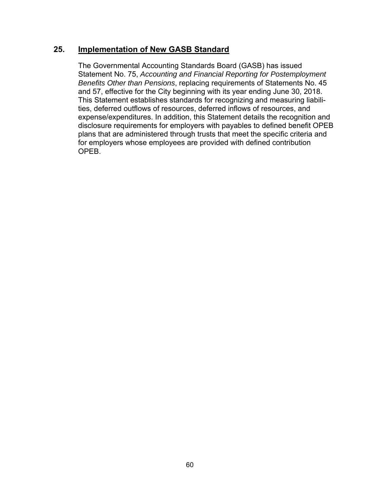# **25. Implementation of New GASB Standard**

The Governmental Accounting Standards Board (GASB) has issued Statement No. 75, *Accounting and Financial Reporting for Postemployment Benefits Other than Pensions*, replacing requirements of Statements No. 45 and 57, effective for the City beginning with its year ending June 30, 2018. This Statement establishes standards for recognizing and measuring liabilities, deferred outflows of resources, deferred inflows of resources, and expense/expenditures. In addition, this Statement details the recognition and disclosure requirements for employers with payables to defined benefit OPEB plans that are administered through trusts that meet the specific criteria and for employers whose employees are provided with defined contribution OPEB.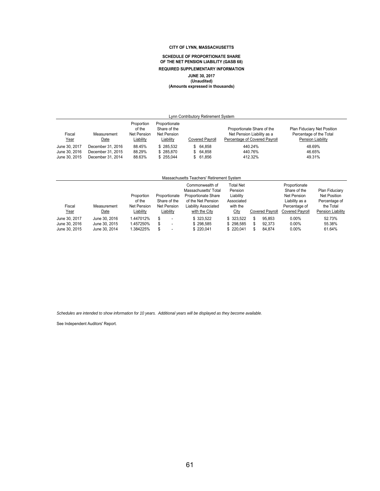#### **SCHEDULE OF PROPORTIONATE SHARE OF THE NET PENSION LIABILITY (GASB 68) REQUIRED SUPPLEMENTARY INFORMATION JUNE 30, 2017 (Unaudited) (Amounts expressed in thousands)**

| Lynn Contributory Retirement System             |                                                             |                                                  |                                                           |                                  |                                                                                           |                                                                             |  |  |  |
|-------------------------------------------------|-------------------------------------------------------------|--------------------------------------------------|-----------------------------------------------------------|----------------------------------|-------------------------------------------------------------------------------------------|-----------------------------------------------------------------------------|--|--|--|
| Fiscal<br><u>Year</u>                           | Measurement<br><u>Date</u>                                  | Proportion<br>of the<br>Net Pension<br>Liability | Proportionate<br>Share of the<br>Net Pension<br>Liability | <b>Covered Payroll</b>           | Proportionate Share of the<br>Net Pension Liability as a<br>Percentage of Covered Payroll | Plan Fiduciary Net Position<br>Percentage of the Total<br>Pension Liability |  |  |  |
| June 30, 2017<br>June 30, 2016<br>June 30, 2015 | December 31, 2016<br>December 31, 2015<br>December 31, 2014 | 88.45%<br>88.29%<br>88.63%                       | \$285.532<br>\$285,870<br>\$255.044                       | \$64.858<br>\$64.858<br>\$61.856 | 440.24%<br>440.76%<br>412.32%                                                             | 48.69%<br>46.65%<br>49.31%                                                  |  |  |  |

| Massachusetts Teachers' Retirement System |                                |                                            |                                              |                                                                                                                     |                                                             |  |                        |                                                                                 |                                                                     |
|-------------------------------------------|--------------------------------|--------------------------------------------|----------------------------------------------|---------------------------------------------------------------------------------------------------------------------|-------------------------------------------------------------|--|------------------------|---------------------------------------------------------------------------------|---------------------------------------------------------------------|
| Fiscal                                    | Measurement                    | Proportion<br>of the<br><b>Net Pension</b> | Proportionate<br>Share of the<br>Net Pension | Commonwealth of<br>Massachusetts' Total<br><b>Proportionate Share</b><br>of the Net Pension<br>Liability Associated | Total Net<br>Pension<br>Liability<br>Associated<br>with the |  |                        | Proportionate<br>Share of the<br>Net Pension<br>Liability as a<br>Percentage of | Plan Fiduciary<br><b>Net Position</b><br>Percentage of<br>the Total |
| Year                                      | Date                           | Liability                                  | Liability                                    | with the City                                                                                                       | City                                                        |  | <b>Covered Pavroll</b> | <b>Covered Pavroll</b>                                                          | Pension Liability                                                   |
| June 30, 2017<br>June 30, 2016            | June 30, 2016<br>June 30, 2015 | 1.447012%<br>1.457250%                     | S<br>-<br>\$<br>$\overline{\phantom{a}}$     | \$323.522<br>\$298.585                                                                                              | \$323.522<br>\$298.585                                      |  | 95.853<br>92.373       | $0.00\%$<br>$0.00\%$                                                            | 52.73%<br>55.38%                                                    |
| June 30, 2015                             | June 30, 2014                  | 1.384225%                                  | S                                            | \$220.041                                                                                                           | \$220,041                                                   |  | 84.874                 | $0.00\%$                                                                        | 61.64%                                                              |

*Schedules are intended to show information for 10 years. Additional years will be displayed as they become available.*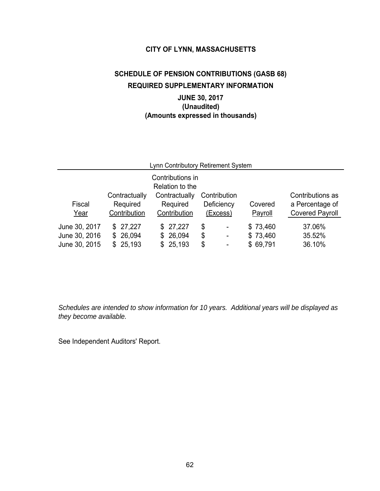# **SCHEDULE OF PENSION CONTRIBUTIONS (GASB 68) REQUIRED SUPPLEMENTARY INFORMATION JUNE 30, 2017**

# **(Unaudited) (Amounts expressed in thousands)**

| Lynn Contributory Retirement System             |                                           |                                           |                                                                                                    |                                  |                                                               |  |  |  |
|-------------------------------------------------|-------------------------------------------|-------------------------------------------|----------------------------------------------------------------------------------------------------|----------------------------------|---------------------------------------------------------------|--|--|--|
| Contributions in<br>Relation to the             |                                           |                                           |                                                                                                    |                                  |                                                               |  |  |  |
| Fiscal<br>Year                                  | Contractually<br>Required<br>Contribution | Contractually<br>Required<br>Contribution | Contribution<br>Deficiency<br>(Excess)                                                             | Covered<br>Payroll               | Contributions as<br>a Percentage of<br><b>Covered Payroll</b> |  |  |  |
| June 30, 2017<br>June 30, 2016<br>June 30, 2015 | \$27,227<br>26,094<br>\$<br>\$25,193      | \$27,227<br>26,094<br>\$<br>\$25,193      | \$<br>$\overline{\phantom{a}}$<br>\$<br>$\overline{\phantom{0}}$<br>\$<br>$\overline{\phantom{0}}$ | \$73,460<br>\$73,460<br>\$69,791 | 37.06%<br>35.52%<br>36.10%                                    |  |  |  |

*Schedules are intended to show information for 10 years. Additional years will be displayed as they become available.*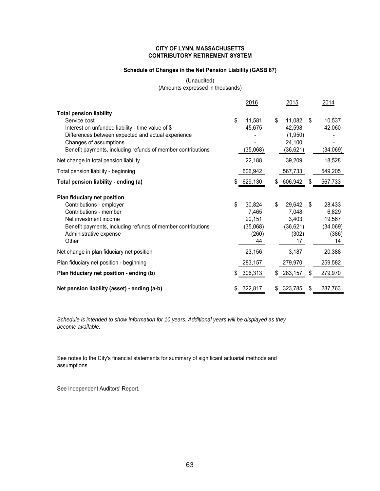#### **CITY OF LYNN, MASSACHUSETTS CONTRIBUTORY RETIREMENT SYSTEM**

#### **Schedule of Changes in the Net Pension Liability (GASB 67)**

(Unaudited) (Amounts expressed in thousands)

|                                                                                                                                                                                                                                                    | 2016                                                       |    | 2015                                                 | 2014                                                       |
|----------------------------------------------------------------------------------------------------------------------------------------------------------------------------------------------------------------------------------------------------|------------------------------------------------------------|----|------------------------------------------------------|------------------------------------------------------------|
| <b>Total pension liability</b><br>Service cost<br>Interest on unfunded liability - time value of \$<br>Differences between expected and actual experience<br>Changes of assumptions<br>Benefit payments, including refunds of member contributions | \$<br>11,581<br>45,675<br>(35,068)                         | \$ | 11,082<br>42,598<br>(1,950)<br>24,100<br>(36, 621)   | \$<br>10,537<br>42,060<br>(34,069)                         |
| Net change in total pension liability                                                                                                                                                                                                              | 22,188                                                     |    | 39,209                                               | 18,528                                                     |
| Total pension liability - beginning                                                                                                                                                                                                                | 606,942                                                    |    | 567,733                                              | 549,205                                                    |
| Total pension liability - ending (a)                                                                                                                                                                                                               | \$<br>629,130                                              |    | \$ 606,942                                           | \$<br>567,733                                              |
| Plan fiduciary net position<br>Contributions - employer<br>Contributions - member<br>Net investment income<br>Benefit payments, including refunds of member contributions<br>Administrative expense<br>Other                                       | \$<br>30,824<br>7,465<br>20,151<br>(35,068)<br>(260)<br>44 | \$ | 29,642<br>7,048<br>3,403<br>(36, 621)<br>(302)<br>17 | \$<br>28,433<br>6,829<br>19,567<br>(34,069)<br>(386)<br>14 |
| Net change in plan fiduciary net position                                                                                                                                                                                                          | 23,156                                                     |    | 3,187                                                | 20,388                                                     |
| Plan fiduciary net position - beginning                                                                                                                                                                                                            | 283,157                                                    |    | 279,970                                              | 259,582                                                    |
| Plan fiduciary net position - ending (b)                                                                                                                                                                                                           | 306,313                                                    |    | 283,157                                              | \$<br>279,970                                              |
| Net pension liability (asset) - ending (a-b)                                                                                                                                                                                                       | 322,817                                                    | S  | 323,785                                              | \$<br>287,763                                              |

*Schedule is intended to show information for 10 years. Additional years will be displayed as they become available.*

See notes to the City's financial statements for summary of significant actuarial methods and assumptions.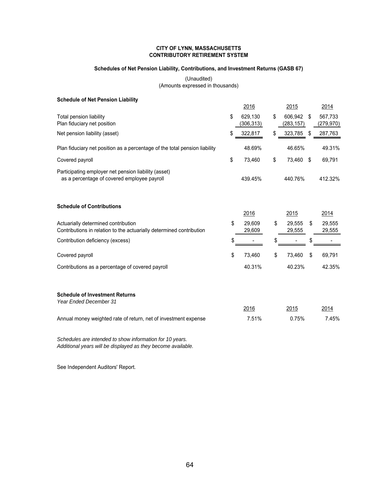#### **CITY OF LYNN, MASSACHUSETTS CONTRIBUTORY RETIREMENT SYSTEM**

#### **Schedules of Net Pension Liability, Contributions, and Investment Returns (GASB 67)**

(Unaudited) (Amounts expressed in thousands)

| <b>Schedule of Net Pension Liability</b>                                                                    |                             |    |                       |                             |
|-------------------------------------------------------------------------------------------------------------|-----------------------------|----|-----------------------|-----------------------------|
|                                                                                                             | 2016                        |    | 2015                  | 2014                        |
| Total pension liability<br>Plan fiduciary net position                                                      | \$<br>629,130<br>(306, 313) | \$ | 606,942<br>(283, 157) | \$<br>567,733<br>(279, 970) |
| Net pension liability (asset)                                                                               | \$<br>322,817               | \$ | 323,785               | \$<br>287,763               |
| Plan fiduciary net position as a percentage of the total pension liability                                  | 48.69%                      |    | 46.65%                | 49.31%                      |
| Covered payroll                                                                                             | \$<br>73,460                | \$ | 73,460                | \$<br>69,791                |
| Participating employer net pension liability (asset)<br>as a percentage of covered employee payroll         | 439.45%                     |    | 440.76%               | 412.32%                     |
| <b>Schedule of Contributions</b>                                                                            | 2016                        |    | 2015                  | 2014                        |
| Actuarially determined contribution<br>Contributions in relation to the actuarially determined contribution | \$<br>29,609<br>29,609      | \$ | 29,555<br>29,555      | \$<br>29,555<br>29,555      |
| Contribution deficiency (excess)                                                                            | \$                          | S  |                       |                             |
| Covered payroll                                                                                             | \$<br>73,460                | \$ | 73,460                | \$<br>69,791                |
| Contributions as a percentage of covered payroll                                                            | 40.31%                      |    | 40.23%                | 42.35%                      |
| <b>Schedule of Investment Returns</b><br><b>Year Ended December 31</b>                                      | 2016                        |    | 2015                  | 2014                        |
| Annual money weighted rate of return, net of investment expense                                             | 7.51%                       |    | 0.75%                 | 7.45%                       |

*Schedules are intended to show information for 10 years. Additional years will be displayed as they become available.*